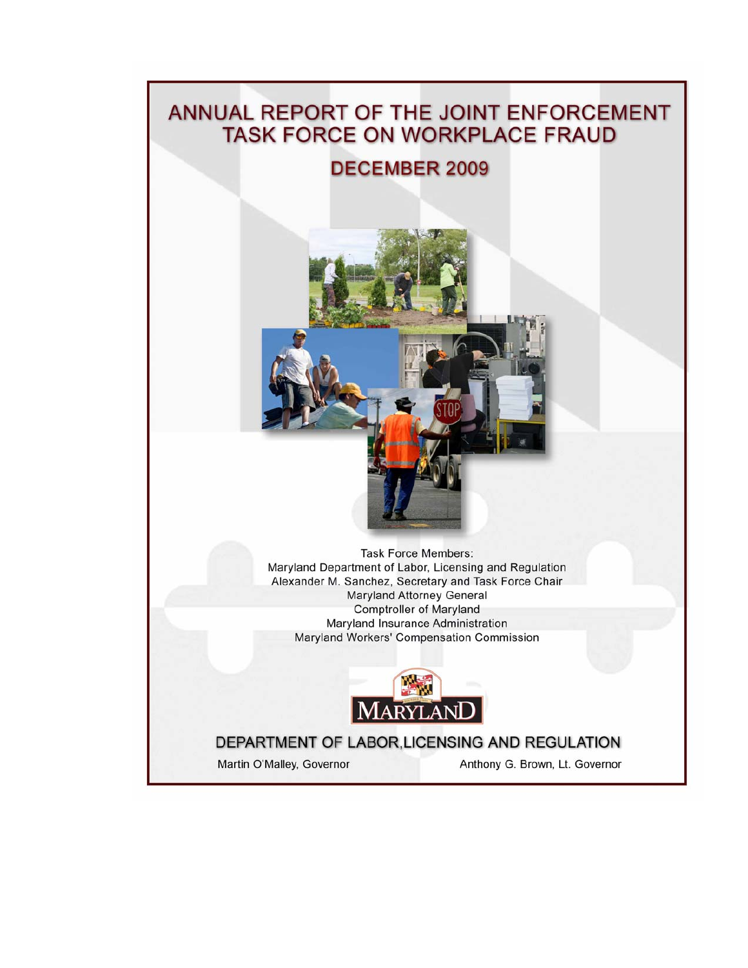# ANNUAL REPORT OF THE JOINT ENFORCEMENT **TASK FORCE ON WORKPLACE FRAUD**

## **DECEMBER 2009**



**Task Force Members:** Maryland Department of Labor, Licensing and Regulation Alexander M. Sanchez, Secretary and Task Force Chair **Maryland Attorney General Comptroller of Maryland** Maryland Insurance Administration Maryland Workers' Compensation Commission



## DEPARTMENT OF LABOR, LICENSING AND REGULATION

Martin O'Malley, Governor

Anthony G. Brown, Lt. Governor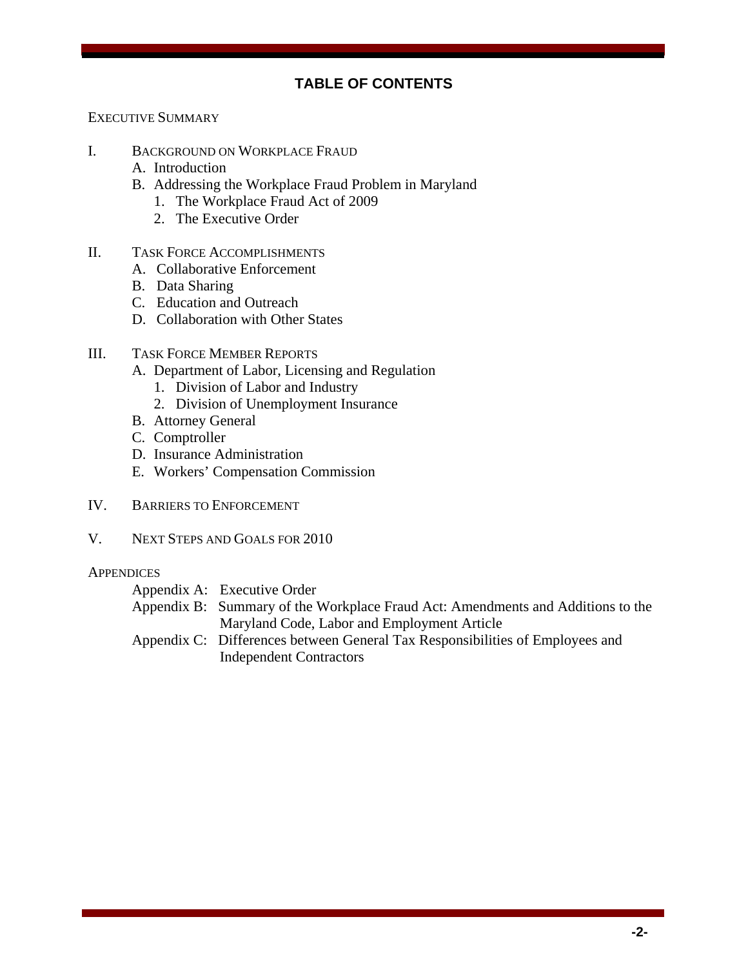#### **TABLE OF CONTENTS**

EXECUTIVE SUMMARY

- I. BACKGROUND ON WORKPLACE FRAUD
	- A. Introduction
	- B. Addressing the Workplace Fraud Problem in Maryland
		- 1. The Workplace Fraud Act of 2009
		- 2. The Executive Order
- II. TASK FORCE ACCOMPLISHMENTS
	- A. Collaborative Enforcement
	- B. Data Sharing
	- C. Education and Outreach
	- D. Collaboration with Other States
- III. TASK FORCE MEMBER REPORTS
	- A. Department of Labor, Licensing and Regulation
		- 1. Division of Labor and Industry
		- 2. Division of Unemployment Insurance
	- B. Attorney General
	- C. Comptroller
	- D. Insurance Administration
	- E. Workers' Compensation Commission
- IV. BARRIERS TO ENFORCEMENT
- V. NEXT STEPS AND GOALS FOR 2010

#### **APPENDICES**

| Appendix A: Executive Order                                                     |
|---------------------------------------------------------------------------------|
| Appendix B: Summary of the Workplace Fraud Act: Amendments and Additions to the |
| Maryland Code, Labor and Employment Article                                     |
| Appendix C: Differences between General Tax Responsibilities of Employees and   |
| <b>Independent Contractors</b>                                                  |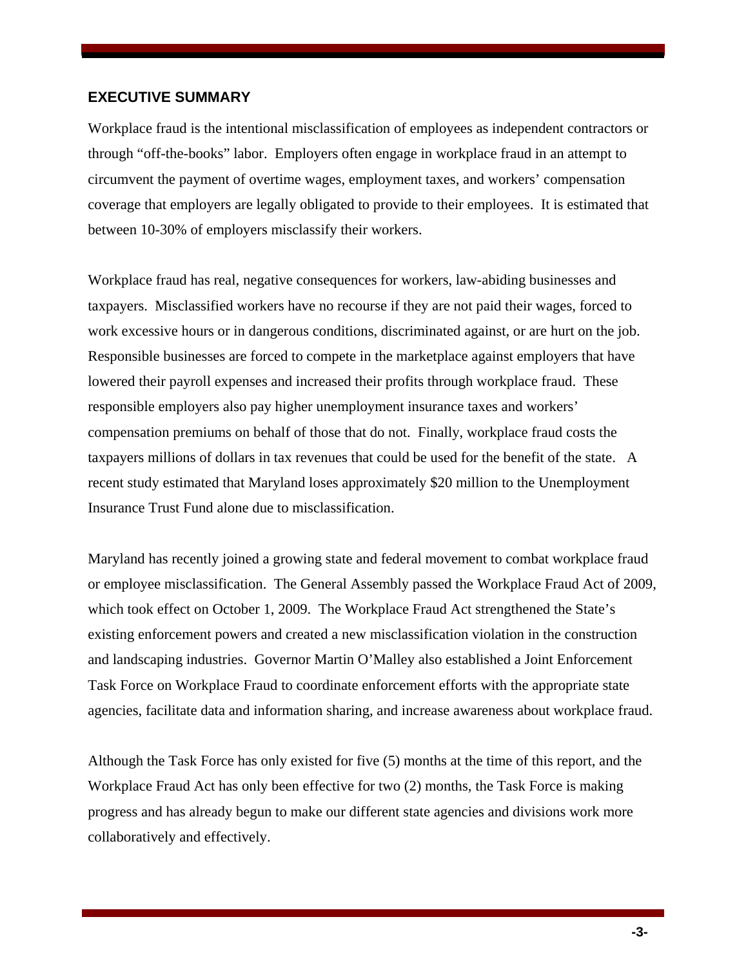#### **EXECUTIVE SUMMARY**

Workplace fraud is the intentional misclassification of employees as independent contractors or through "off-the-books" labor. Employers often engage in workplace fraud in an attempt to circumvent the payment of overtime wages, employment taxes, and workers' compensation coverage that employers are legally obligated to provide to their employees. It is estimated that between 10-30% of employers misclassify their workers.

Workplace fraud has real, negative consequences for workers, law-abiding businesses and taxpayers. Misclassified workers have no recourse if they are not paid their wages, forced to work excessive hours or in dangerous conditions, discriminated against, or are hurt on the job. Responsible businesses are forced to compete in the marketplace against employers that have lowered their payroll expenses and increased their profits through workplace fraud. These responsible employers also pay higher unemployment insurance taxes and workers' compensation premiums on behalf of those that do not. Finally, workplace fraud costs the taxpayers millions of dollars in tax revenues that could be used for the benefit of the state. A recent study estimated that Maryland loses approximately \$20 million to the Unemployment Insurance Trust Fund alone due to misclassification.

Maryland has recently joined a growing state and federal movement to combat workplace fraud or employee misclassification. The General Assembly passed the Workplace Fraud Act of 2009, which took effect on October 1, 2009. The Workplace Fraud Act strengthened the State's existing enforcement powers and created a new misclassification violation in the construction and landscaping industries. Governor Martin O'Malley also established a Joint Enforcement Task Force on Workplace Fraud to coordinate enforcement efforts with the appropriate state agencies, facilitate data and information sharing, and increase awareness about workplace fraud.

Although the Task Force has only existed for five (5) months at the time of this report, and the Workplace Fraud Act has only been effective for two (2) months, the Task Force is making progress and has already begun to make our different state agencies and divisions work more collaboratively and effectively.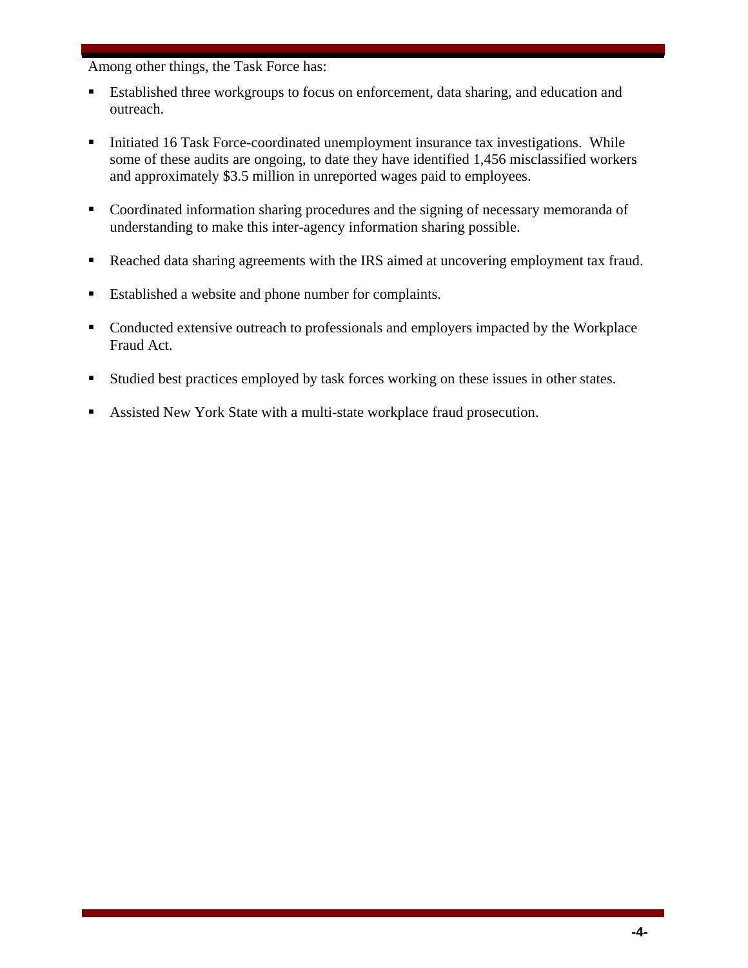Among other things, the Task Force has:

- Established three workgroups to focus on enforcement, data sharing, and education and outreach.
- Initiated 16 Task Force-coordinated unemployment insurance tax investigations. While some of these audits are ongoing, to date they have identified 1,456 misclassified workers and approximately \$3.5 million in unreported wages paid to employees.
- Coordinated information sharing procedures and the signing of necessary memoranda of understanding to make this inter-agency information sharing possible.
- Reached data sharing agreements with the IRS aimed at uncovering employment tax fraud.
- Established a website and phone number for complaints.
- Conducted extensive outreach to professionals and employers impacted by the Workplace Fraud Act.
- Studied best practices employed by task forces working on these issues in other states.
- Assisted New York State with a multi-state workplace fraud prosecution.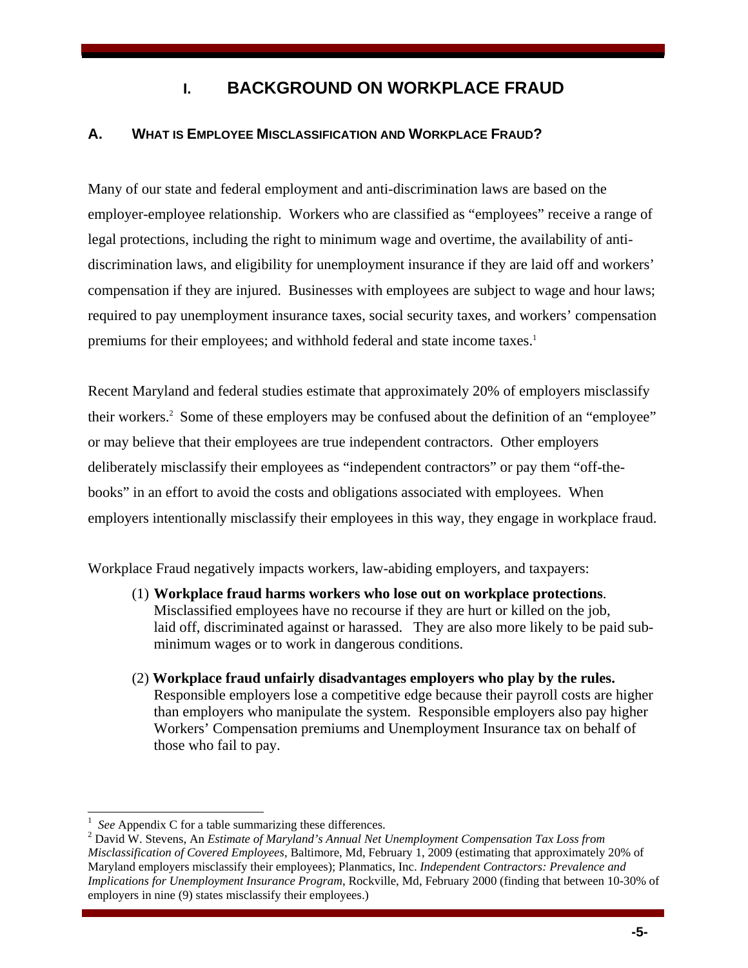## **I. BACKGROUND ON WORKPLACE FRAUD**

### **A. WHAT IS EMPLOYEE MISCLASSIFICATION AND WORKPLACE FRAUD?**

Many of our state and federal employment and anti-discrimination laws are based on the employer-employee relationship. Workers who are classified as "employees" receive a range of legal protections, including the right to minimum wage and overtime, the availability of antidiscrimination laws, and eligibility for unemployment insurance if they are laid off and workers' compensation if they are injured. Businesses with employees are subject to wage and hour laws; required to pay unemployment insurance taxes, social security taxes, and workers' compensation premiums for their employees; and withhold federal and state income taxes.<sup>1</sup>

Recent Maryland and federal studies estimate that approximately 20% of employers misclassify their workers.<sup>2</sup> Some of these employers may be confused about the definition of an "employee" or may believe that their employees are true independent contractors. Other employers deliberately misclassify their employees as "independent contractors" or pay them "off-thebooks" in an effort to avoid the costs and obligations associated with employees. When employers intentionally misclassify their employees in this way, they engage in workplace fraud.

Workplace Fraud negatively impacts workers, law-abiding employers, and taxpayers:

- (1) **Workplace fraud harms workers who lose out on workplace protections**. Misclassified employees have no recourse if they are hurt or killed on the job, laid off, discriminated against or harassed. They are also more likely to be paid subminimum wages or to work in dangerous conditions.
- (2) **Workplace fraud unfairly disadvantages employers who play by the rules.** Responsible employers lose a competitive edge because their payroll costs are higher than employers who manipulate the system. Responsible employers also pay higher Workers' Compensation premiums and Unemployment Insurance tax on behalf of those who fail to pay.

l

<sup>1</sup> *See* Appendix C for a table summarizing these differences.

David W. Stevens, An *Estimate of Maryland's Annual Net Unemployment Compensation Tax Loss from Misclassification of Covered Employees*, Baltimore, Md, February 1, 2009 (estimating that approximately 20% of Maryland employers misclassify their employees); Planmatics, Inc. *Independent Contractors: Prevalence and Implications for Unemployment Insurance Program*, Rockville, Md, February 2000 (finding that between 10-30% of employers in nine (9) states misclassify their employees.)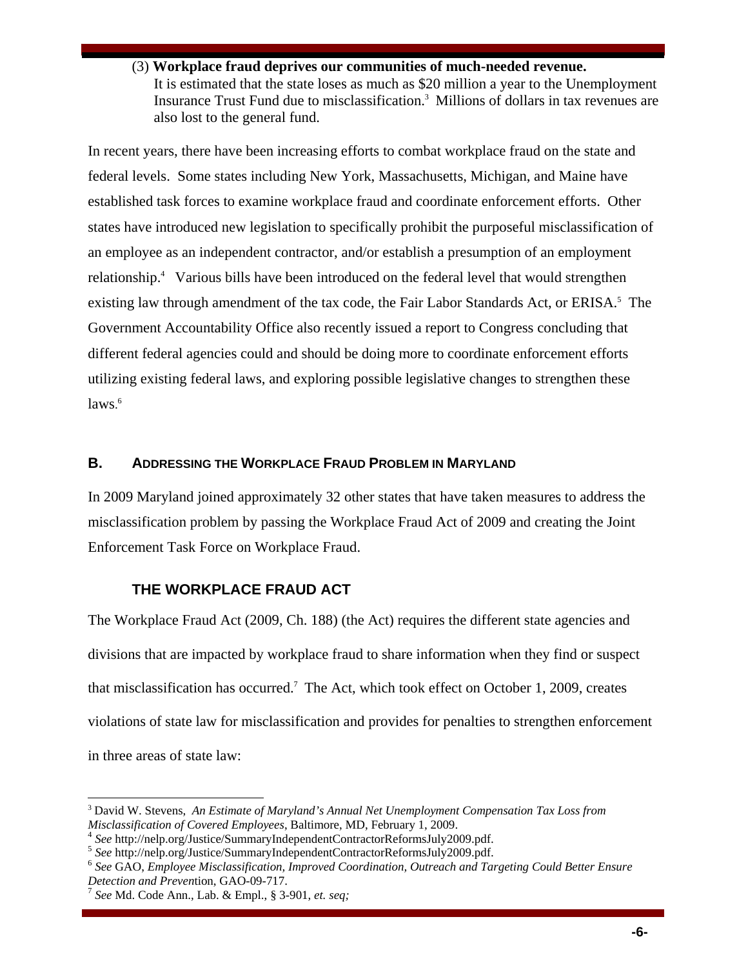(3) **Workplace fraud deprives our communities of much-needed revenue.** It is estimated that the state loses as much as \$20 million a year to the Unemployment Insurance Trust Fund due to misclassification.3 Millions of dollars in tax revenues are also lost to the general fund.

In recent years, there have been increasing efforts to combat workplace fraud on the state and federal levels. Some states including New York, Massachusetts, Michigan, and Maine have established task forces to examine workplace fraud and coordinate enforcement efforts. Other states have introduced new legislation to specifically prohibit the purposeful misclassification of an employee as an independent contractor, and/or establish a presumption of an employment relationship.4Various bills have been introduced on the federal level that would strengthen existing law through amendment of the tax code, the Fair Labor Standards Act, or ERISA.<sup>5</sup> The Government Accountability Office also recently issued a report to Congress concluding that different federal agencies could and should be doing more to coordinate enforcement efforts utilizing existing federal laws, and exploring possible legislative changes to strengthen these laws. 6

#### **B. ADDRESSING THE WORKPLACE FRAUD PROBLEM IN MARYLAND**

In 2009 Maryland joined approximately 32 other states that have taken measures to address the misclassification problem by passing the Workplace Fraud Act of 2009 and creating the Joint Enforcement Task Force on Workplace Fraud.

#### **THE WORKPLACE FRAUD ACT**

The Workplace Fraud Act (2009, Ch. 188) (the Act) requires the different state agencies and divisions that are impacted by workplace fraud to share information when they find or suspect that misclassification has occurred.7 The Act, which took effect on October 1, 2009, creates violations of state law for misclassification and provides for penalties to strengthen enforcement in three areas of state law:

<sup>3</sup> David W. Stevens, *An Estimate of Maryland's Annual Net Unemployment Compensation Tax Loss from* 

Misclassification of Covered Employees, Baltimore, MD, February 1, 2009.<br>
<sup>4</sup> See http://nelp.org/Justice/SummaryIndependentContractorReformsJuly2009.pdf.<br>
<sup>5</sup> See http://nelp.org/Justice/SummaryIndependentContractorReform *Detection and Prevention, GAO-09-717.*<br><sup>7</sup> *See* Md. Code Ann., Lab. & Empl., § 3-901, *et. seq*;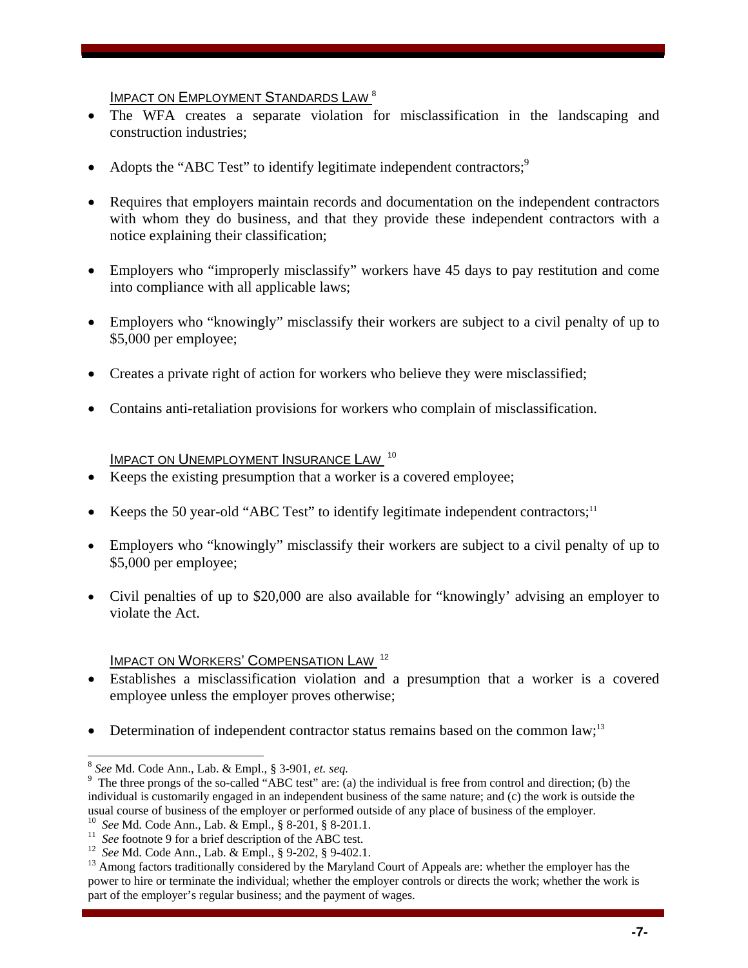IMPACT ON EMPLOYMENT STANDARDS LAW<sup>8</sup>

- The WFA creates a separate violation for misclassification in the landscaping and construction industries;
- Adopts the "ABC Test" to identify legitimate independent contractors;<sup>9</sup>
- Requires that employers maintain records and documentation on the independent contractors with whom they do business, and that they provide these independent contractors with a notice explaining their classification;
- Employers who "improperly misclassify" workers have 45 days to pay restitution and come into compliance with all applicable laws;
- Employers who "knowingly" misclassify their workers are subject to a civil penalty of up to \$5,000 per employee;
- Creates a private right of action for workers who believe they were misclassified;
- Contains anti-retaliation provisions for workers who complain of misclassification.

IMPACT ON UNEMPLOYMENT INSURANCE LAW<sup>10</sup>

- Keeps the existing presumption that a worker is a covered employee;
- Keeps the 50 year-old "ABC Test" to identify legitimate independent contractors;<sup>11</sup>
- Employers who "knowingly" misclassify their workers are subject to a civil penalty of up to \$5,000 per employee;
- Civil penalties of up to \$20,000 are also available for "knowingly' advising an employer to violate the Act.

#### IMPACT ON WORKERS' COMPENSATION LAW 12

- Establishes a misclassification violation and a presumption that a worker is a covered employee unless the employer proves otherwise;
- Determination of independent contractor status remains based on the common  $law$ ;<sup>13</sup>

<sup>8</sup> *See* Md. Code Ann., Lab. & Empl., § 3-901, *et. seq.* <sup>9</sup>

<sup>&</sup>lt;sup>9</sup> The three prongs of the so-called "ABC test" are: (a) the individual is free from control and direction; (b) the individual is customarily engaged in an independent business of the same nature; and (c) the work is outside the usual course of business of the employer or performed outside of any place of business of the employer.<br><sup>10</sup> See Md. Code Ann., Lab. & Empl., § 8-201, § 8-201.1.<br><sup>11</sup> See footnote 9 for a brief description of the ABC test

power to hire or terminate the individual; whether the employer controls or directs the work; whether the work is part of the employer's regular business; and the payment of wages.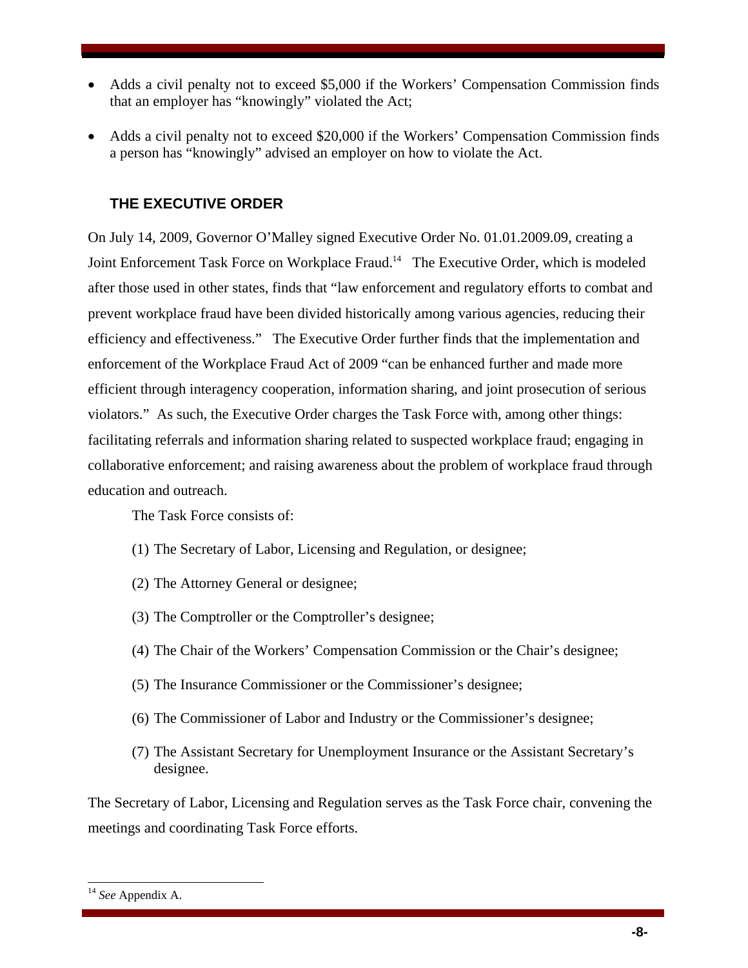- Adds a civil penalty not to exceed \$5,000 if the Workers' Compensation Commission finds that an employer has "knowingly" violated the Act;
- Adds a civil penalty not to exceed \$20,000 if the Workers' Compensation Commission finds a person has "knowingly" advised an employer on how to violate the Act.

### **THE EXECUTIVE ORDER**

On July 14, 2009, Governor O'Malley signed Executive Order No. 01.01.2009.09, creating a Joint Enforcement Task Force on Workplace Fraud.<sup>14</sup> The Executive Order, which is modeled after those used in other states, finds that "law enforcement and regulatory efforts to combat and prevent workplace fraud have been divided historically among various agencies, reducing their efficiency and effectiveness." The Executive Order further finds that the implementation and enforcement of the Workplace Fraud Act of 2009 "can be enhanced further and made more efficient through interagency cooperation, information sharing, and joint prosecution of serious violators." As such, the Executive Order charges the Task Force with, among other things: facilitating referrals and information sharing related to suspected workplace fraud; engaging in collaborative enforcement; and raising awareness about the problem of workplace fraud through education and outreach.

The Task Force consists of:

- (1) The Secretary of Labor, Licensing and Regulation, or designee;
- (2) The Attorney General or designee;
- (3) The Comptroller or the Comptroller's designee;
- (4) The Chair of the Workers' Compensation Commission or the Chair's designee;
- (5) The Insurance Commissioner or the Commissioner's designee;
- (6) The Commissioner of Labor and Industry or the Commissioner's designee;
- (7) The Assistant Secretary for Unemployment Insurance or the Assistant Secretary's designee.

The Secretary of Labor, Licensing and Regulation serves as the Task Force chair, convening the meetings and coordinating Task Force efforts.

<sup>14</sup> *See* Appendix A.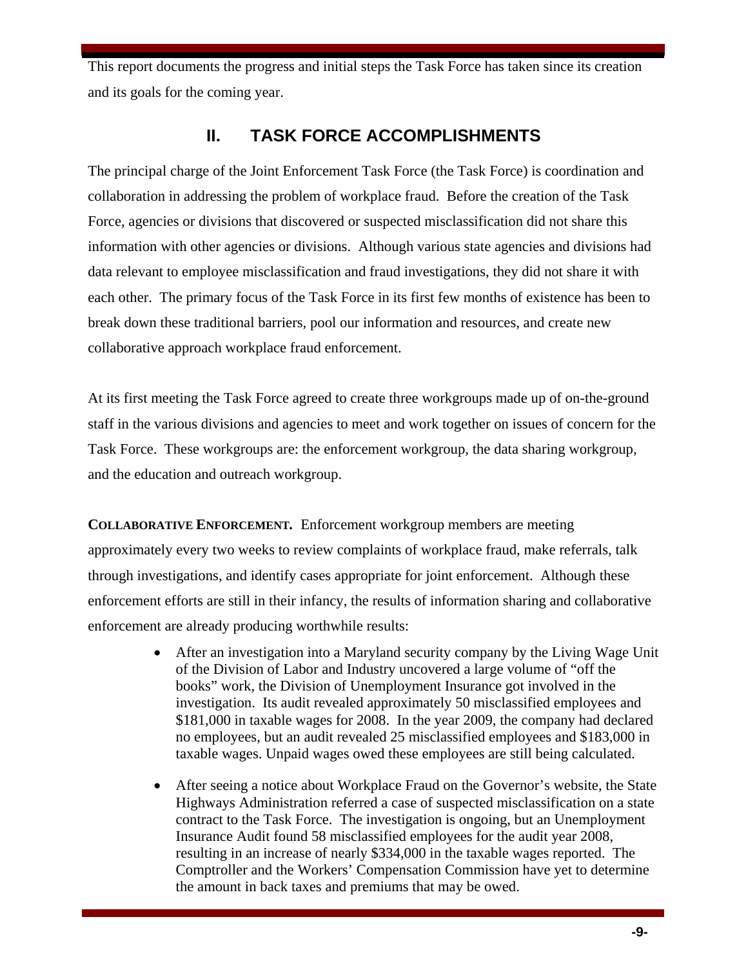This report documents the progress and initial steps the Task Force has taken since its creation and its goals for the coming year.

## **II. TASK FORCE ACCOMPLISHMENTS**

The principal charge of the Joint Enforcement Task Force (the Task Force) is coordination and collaboration in addressing the problem of workplace fraud. Before the creation of the Task Force, agencies or divisions that discovered or suspected misclassification did not share this information with other agencies or divisions. Although various state agencies and divisions had data relevant to employee misclassification and fraud investigations, they did not share it with each other. The primary focus of the Task Force in its first few months of existence has been to break down these traditional barriers, pool our information and resources, and create new collaborative approach workplace fraud enforcement.

At its first meeting the Task Force agreed to create three workgroups made up of on-the-ground staff in the various divisions and agencies to meet and work together on issues of concern for the Task Force. These workgroups are: the enforcement workgroup, the data sharing workgroup, and the education and outreach workgroup.

**COLLABORATIVE ENFORCEMENT***.* Enforcement workgroup members are meeting approximately every two weeks to review complaints of workplace fraud, make referrals, talk through investigations, and identify cases appropriate for joint enforcement. Although these enforcement efforts are still in their infancy, the results of information sharing and collaborative enforcement are already producing worthwhile results:

- After an investigation into a Maryland security company by the Living Wage Unit of the Division of Labor and Industry uncovered a large volume of "off the books" work, the Division of Unemployment Insurance got involved in the investigation. Its audit revealed approximately 50 misclassified employees and \$181,000 in taxable wages for 2008. In the year 2009, the company had declared no employees, but an audit revealed 25 misclassified employees and \$183,000 in taxable wages. Unpaid wages owed these employees are still being calculated.
- After seeing a notice about Workplace Fraud on the Governor's website, the State Highways Administration referred a case of suspected misclassification on a state contract to the Task Force. The investigation is ongoing, but an Unemployment Insurance Audit found 58 misclassified employees for the audit year 2008, resulting in an increase of nearly \$334,000 in the taxable wages reported. The Comptroller and the Workers' Compensation Commission have yet to determine the amount in back taxes and premiums that may be owed.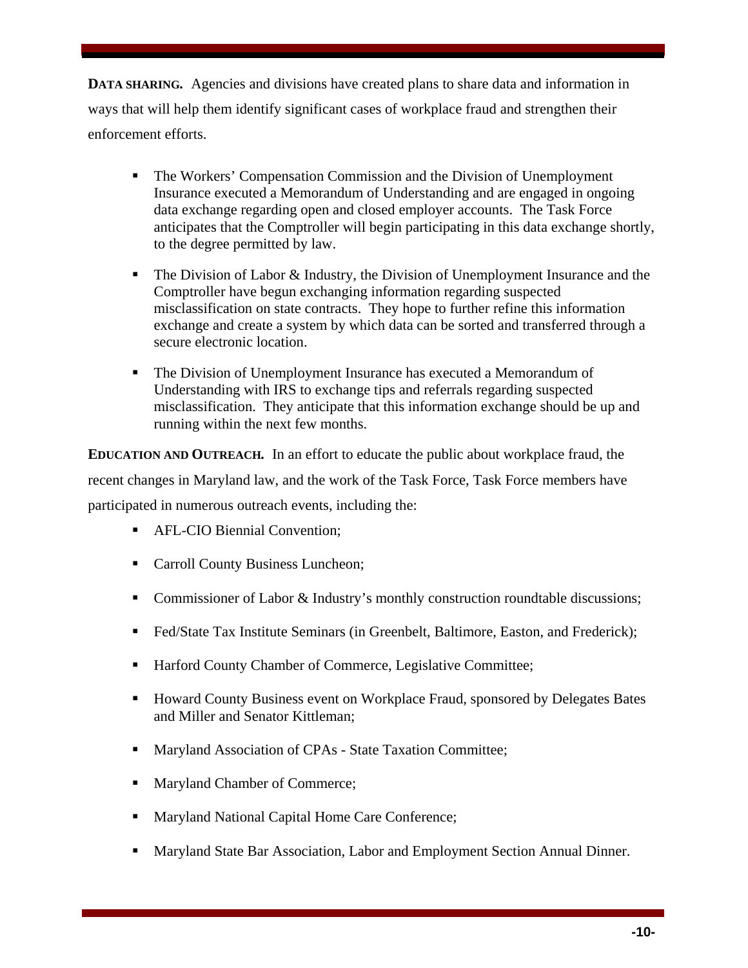**DATA SHARING.** Agencies and divisions have created plans to share data and information in ways that will help them identify significant cases of workplace fraud and strengthen their enforcement efforts.

- The Workers' Compensation Commission and the Division of Unemployment Insurance executed a Memorandum of Understanding and are engaged in ongoing data exchange regarding open and closed employer accounts. The Task Force anticipates that the Comptroller will begin participating in this data exchange shortly, to the degree permitted by law.
- The Division of Labor & Industry, the Division of Unemployment Insurance and the Comptroller have begun exchanging information regarding suspected misclassification on state contracts. They hope to further refine this information exchange and create a system by which data can be sorted and transferred through a secure electronic location.
- The Division of Unemployment Insurance has executed a Memorandum of Understanding with IRS to exchange tips and referrals regarding suspected misclassification. They anticipate that this information exchange should be up and running within the next few months.

**EDUCATION AND OUTREACH***.* In an effort to educate the public about workplace fraud, the recent changes in Maryland law, and the work of the Task Force, Task Force members have participated in numerous outreach events, including the:

- **AFL-CIO Biennial Convention;**
- Carroll County Business Luncheon;
- Commissioner of Labor & Industry's monthly construction roundtable discussions;
- Fed/State Tax Institute Seminars (in Greenbelt, Baltimore, Easton, and Frederick);
- Harford County Chamber of Commerce, Legislative Committee;
- **Howard County Business event on Workplace Fraud, sponsored by Delegates Bates** and Miller and Senator Kittleman;
- **Maryland Association of CPAs State Taxation Committee;**
- Maryland Chamber of Commerce;
- Maryland National Capital Home Care Conference;
- **Maryland State Bar Association, Labor and Employment Section Annual Dinner.**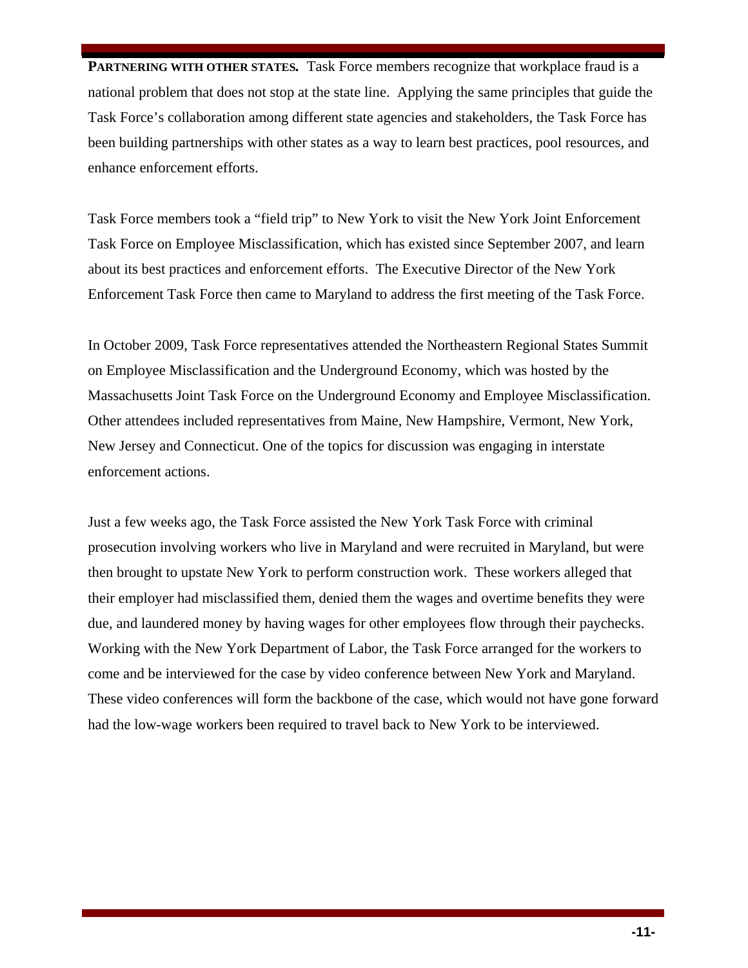**PARTNERING WITH OTHER STATES.** Task Force members recognize that workplace fraud is a national problem that does not stop at the state line. Applying the same principles that guide the Task Force's collaboration among different state agencies and stakeholders, the Task Force has been building partnerships with other states as a way to learn best practices, pool resources, and enhance enforcement efforts.

Task Force members took a "field trip" to New York to visit the New York Joint Enforcement Task Force on Employee Misclassification, which has existed since September 2007, and learn about its best practices and enforcement efforts. The Executive Director of the New York Enforcement Task Force then came to Maryland to address the first meeting of the Task Force.

In October 2009, Task Force representatives attended the Northeastern Regional States Summit on Employee Misclassification and the Underground Economy, which was hosted by the Massachusetts Joint Task Force on the Underground Economy and Employee Misclassification. Other attendees included representatives from Maine, New Hampshire, Vermont, New York, New Jersey and Connecticut. One of the topics for discussion was engaging in interstate enforcement actions.

Just a few weeks ago, the Task Force assisted the New York Task Force with criminal prosecution involving workers who live in Maryland and were recruited in Maryland, but were then brought to upstate New York to perform construction work. These workers alleged that their employer had misclassified them, denied them the wages and overtime benefits they were due, and laundered money by having wages for other employees flow through their paychecks. Working with the New York Department of Labor, the Task Force arranged for the workers to come and be interviewed for the case by video conference between New York and Maryland. These video conferences will form the backbone of the case, which would not have gone forward had the low-wage workers been required to travel back to New York to be interviewed.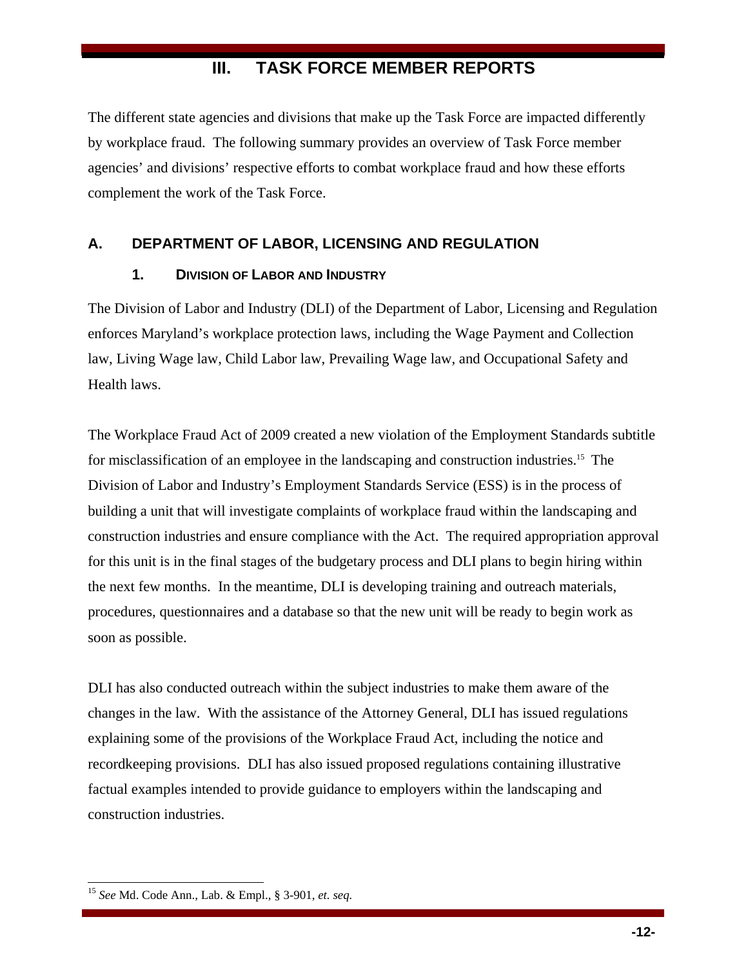## **III. TASK FORCE MEMBER REPORTS**

The different state agencies and divisions that make up the Task Force are impacted differently by workplace fraud. The following summary provides an overview of Task Force member agencies' and divisions' respective efforts to combat workplace fraud and how these efforts complement the work of the Task Force.

#### **A. DEPARTMENT OF LABOR, LICENSING AND REGULATION**

#### **1. DIVISION OF LABOR AND INDUSTRY**

The Division of Labor and Industry (DLI) of the Department of Labor, Licensing and Regulation enforces Maryland's workplace protection laws, including the Wage Payment and Collection law, Living Wage law, Child Labor law, Prevailing Wage law, and Occupational Safety and Health laws.

The Workplace Fraud Act of 2009 created a new violation of the Employment Standards subtitle for misclassification of an employee in the landscaping and construction industries.<sup>15</sup> The Division of Labor and Industry's Employment Standards Service (ESS) is in the process of building a unit that will investigate complaints of workplace fraud within the landscaping and construction industries and ensure compliance with the Act. The required appropriation approval for this unit is in the final stages of the budgetary process and DLI plans to begin hiring within the next few months. In the meantime, DLI is developing training and outreach materials, procedures, questionnaires and a database so that the new unit will be ready to begin work as soon as possible.

DLI has also conducted outreach within the subject industries to make them aware of the changes in the law. With the assistance of the Attorney General, DLI has issued regulations explaining some of the provisions of the Workplace Fraud Act, including the notice and recordkeeping provisions. DLI has also issued proposed regulations containing illustrative factual examples intended to provide guidance to employers within the landscaping and construction industries.

<sup>15</sup> *See* Md. Code Ann., Lab. & Empl., § 3-901, *et. seq.*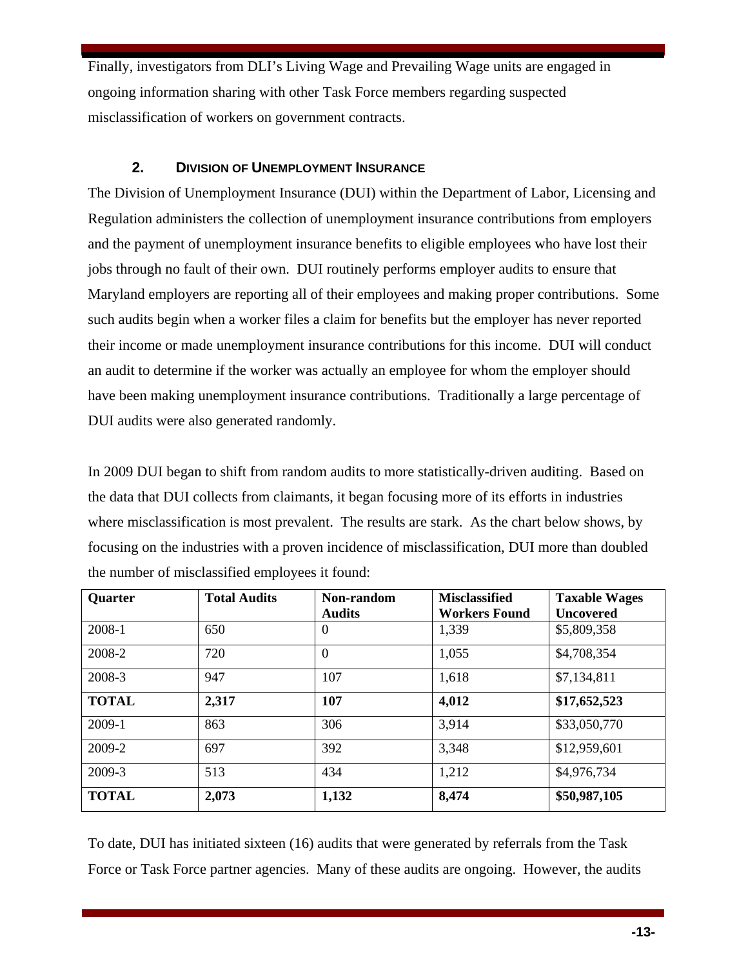Finally, investigators from DLI's Living Wage and Prevailing Wage units are engaged in ongoing information sharing with other Task Force members regarding suspected misclassification of workers on government contracts.

#### **2. DIVISION OF UNEMPLOYMENT INSURANCE**

The Division of Unemployment Insurance (DUI) within the Department of Labor, Licensing and Regulation administers the collection of unemployment insurance contributions from employers and the payment of unemployment insurance benefits to eligible employees who have lost their jobs through no fault of their own. DUI routinely performs employer audits to ensure that Maryland employers are reporting all of their employees and making proper contributions. Some such audits begin when a worker files a claim for benefits but the employer has never reported their income or made unemployment insurance contributions for this income. DUI will conduct an audit to determine if the worker was actually an employee for whom the employer should have been making unemployment insurance contributions. Traditionally a large percentage of DUI audits were also generated randomly.

In 2009 DUI began to shift from random audits to more statistically-driven auditing. Based on the data that DUI collects from claimants, it began focusing more of its efforts in industries where misclassification is most prevalent. The results are stark. As the chart below shows, by focusing on the industries with a proven incidence of misclassification, DUI more than doubled the number of misclassified employees it found:

| <b>Quarter</b> | <b>Total Audits</b> | Non-random<br><b>Audits</b> | <b>Misclassified</b><br><b>Workers Found</b> | <b>Taxable Wages</b><br><b>Uncovered</b> |
|----------------|---------------------|-----------------------------|----------------------------------------------|------------------------------------------|
| 2008-1         | 650                 | $\theta$                    | 1,339                                        | \$5,809,358                              |
| 2008-2         | 720                 | $\theta$                    | 1,055                                        | \$4,708,354                              |
| 2008-3         | 947                 | 107                         | 1,618                                        | \$7,134,811                              |
| <b>TOTAL</b>   | 2,317               | 107                         | 4,012                                        | \$17,652,523                             |
| 2009-1         | 863                 | 306                         | 3,914                                        | \$33,050,770                             |
| 2009-2         | 697                 | 392                         | 3,348                                        | \$12,959,601                             |
| 2009-3         | 513                 | 434                         | 1,212                                        | \$4,976,734                              |
| <b>TOTAL</b>   | 2,073               | 1,132                       | 8,474                                        | \$50,987,105                             |

To date, DUI has initiated sixteen (16) audits that were generated by referrals from the Task Force or Task Force partner agencies. Many of these audits are ongoing. However, the audits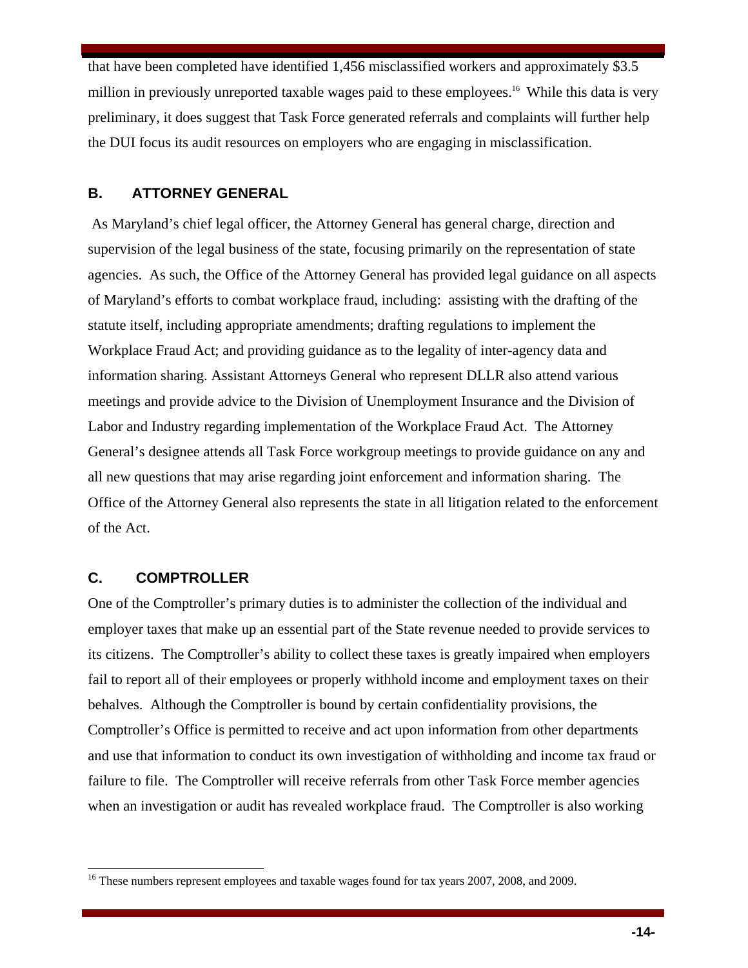that have been completed have identified 1,456 misclassified workers and approximately \$3.5 million in previously unreported taxable wages paid to these employees.<sup>16</sup> While this data is very preliminary, it does suggest that Task Force generated referrals and complaints will further help the DUI focus its audit resources on employers who are engaging in misclassification.

#### **B. ATTORNEY GENERAL**

 As Maryland's chief legal officer, the Attorney General has general charge, direction and supervision of the legal business of the state, focusing primarily on the representation of state agencies. As such, the Office of the Attorney General has provided legal guidance on all aspects of Maryland's efforts to combat workplace fraud, including: assisting with the drafting of the statute itself, including appropriate amendments; drafting regulations to implement the Workplace Fraud Act; and providing guidance as to the legality of inter-agency data and information sharing. Assistant Attorneys General who represent DLLR also attend various meetings and provide advice to the Division of Unemployment Insurance and the Division of Labor and Industry regarding implementation of the Workplace Fraud Act. The Attorney General's designee attends all Task Force workgroup meetings to provide guidance on any and all new questions that may arise regarding joint enforcement and information sharing. The Office of the Attorney General also represents the state in all litigation related to the enforcement of the Act.

#### **C. COMPTROLLER**

 $\overline{\phantom{a}}$ 

One of the Comptroller's primary duties is to administer the collection of the individual and employer taxes that make up an essential part of the State revenue needed to provide services to its citizens. The Comptroller's ability to collect these taxes is greatly impaired when employers fail to report all of their employees or properly withhold income and employment taxes on their behalves. Although the Comptroller is bound by certain confidentiality provisions, the Comptroller's Office is permitted to receive and act upon information from other departments and use that information to conduct its own investigation of withholding and income tax fraud or failure to file. The Comptroller will receive referrals from other Task Force member agencies when an investigation or audit has revealed workplace fraud. The Comptroller is also working

<sup>&</sup>lt;sup>16</sup> These numbers represent employees and taxable wages found for tax years 2007, 2008, and 2009.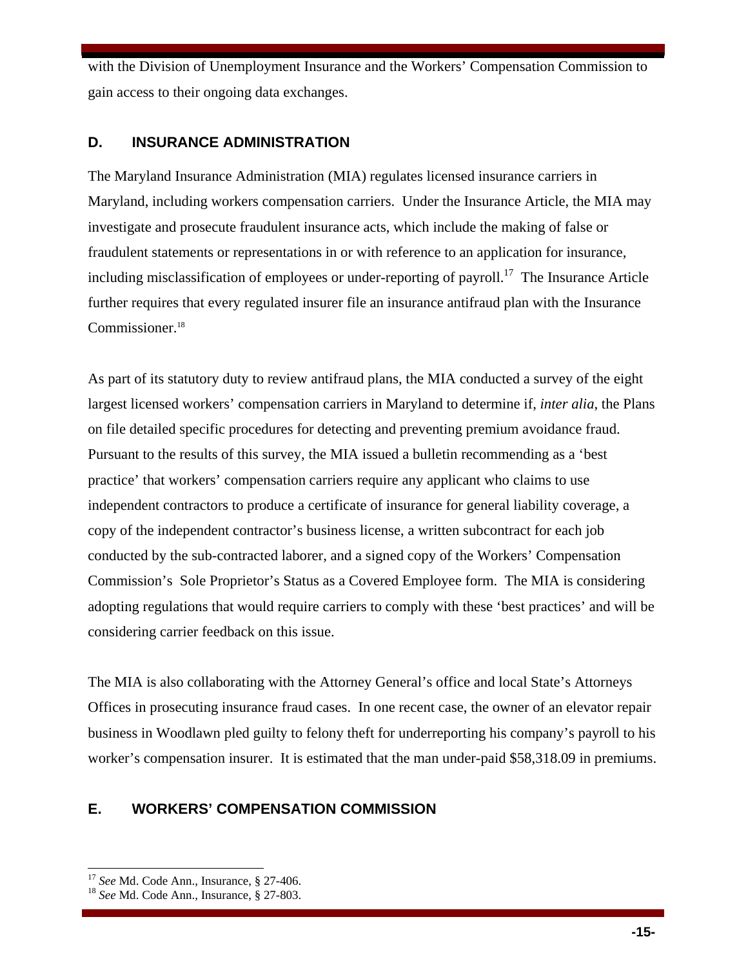with the Division of Unemployment Insurance and the Workers' Compensation Commission to gain access to their ongoing data exchanges.

#### **D. INSURANCE ADMINISTRATION**

The Maryland Insurance Administration (MIA) regulates licensed insurance carriers in Maryland, including workers compensation carriers. Under the Insurance Article, the MIA may investigate and prosecute fraudulent insurance acts, which include the making of false or fraudulent statements or representations in or with reference to an application for insurance, including misclassification of employees or under-reporting of payroll.<sup>17</sup> The Insurance Article further requires that every regulated insurer file an insurance antifraud plan with the Insurance Commissioner.<sup>18</sup>

As part of its statutory duty to review antifraud plans, the MIA conducted a survey of the eight largest licensed workers' compensation carriers in Maryland to determine if, *inter alia*, the Plans on file detailed specific procedures for detecting and preventing premium avoidance fraud. Pursuant to the results of this survey, the MIA issued a bulletin recommending as a 'best practice' that workers' compensation carriers require any applicant who claims to use independent contractors to produce a certificate of insurance for general liability coverage, a copy of the independent contractor's business license, a written subcontract for each job conducted by the sub-contracted laborer, and a signed copy of the Workers' Compensation Commission's Sole Proprietor's Status as a Covered Employee form. The MIA is considering adopting regulations that would require carriers to comply with these 'best practices' and will be considering carrier feedback on this issue.

The MIA is also collaborating with the Attorney General's office and local State's Attorneys Offices in prosecuting insurance fraud cases. In one recent case, the owner of an elevator repair business in Woodlawn pled guilty to felony theft for underreporting his company's payroll to his worker's compensation insurer. It is estimated that the man under-paid \$58,318.09 in premiums.

### **E. WORKERS' COMPENSATION COMMISSION**

<sup>17</sup> *See* Md. Code Ann., Insurance, § 27-406. 18 *See* Md. Code Ann., Insurance, § 27-803.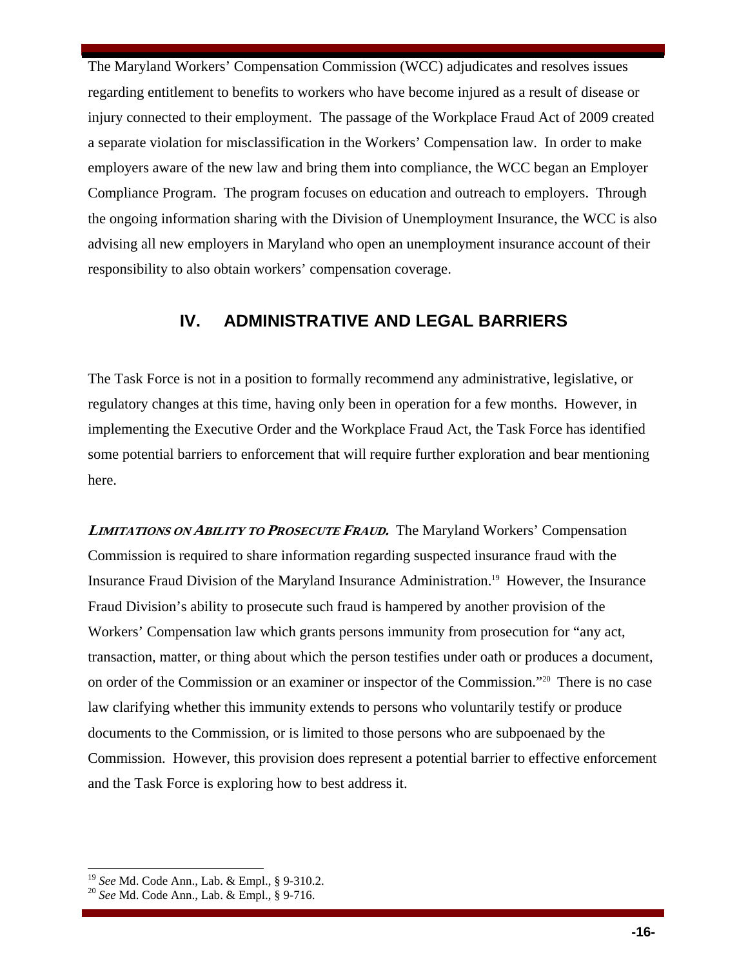The Maryland Workers' Compensation Commission (WCC) adjudicates and resolves issues regarding entitlement to benefits to workers who have become injured as a result of disease or injury connected to their employment. The passage of the Workplace Fraud Act of 2009 created a separate violation for misclassification in the Workers' Compensation law. In order to make employers aware of the new law and bring them into compliance, the WCC began an Employer Compliance Program. The program focuses on education and outreach to employers. Through the ongoing information sharing with the Division of Unemployment Insurance, the WCC is also advising all new employers in Maryland who open an unemployment insurance account of their responsibility to also obtain workers' compensation coverage.

### **IV. ADMINISTRATIVE AND LEGAL BARRIERS**

The Task Force is not in a position to formally recommend any administrative, legislative, or regulatory changes at this time, having only been in operation for a few months. However, in implementing the Executive Order and the Workplace Fraud Act, the Task Force has identified some potential barriers to enforcement that will require further exploration and bear mentioning here.

**<sup>L</sup>IMITATIONS ON ABILITY TO PROSECUTE FRAUD.**The Maryland Workers' Compensation Commission is required to share information regarding suspected insurance fraud with the Insurance Fraud Division of the Maryland Insurance Administration.19 However, the Insurance Fraud Division's ability to prosecute such fraud is hampered by another provision of the Workers' Compensation law which grants persons immunity from prosecution for "any act, transaction, matter, or thing about which the person testifies under oath or produces a document, on order of the Commission or an examiner or inspector of the Commission."20 There is no case law clarifying whether this immunity extends to persons who voluntarily testify or produce documents to the Commission, or is limited to those persons who are subpoenaed by the Commission. However, this provision does represent a potential barrier to effective enforcement and the Task Force is exploring how to best address it.

<sup>19</sup> *See* Md. Code Ann., Lab. & Empl., § 9-310.2. 20 *See* Md. Code Ann., Lab. & Empl., § 9-716.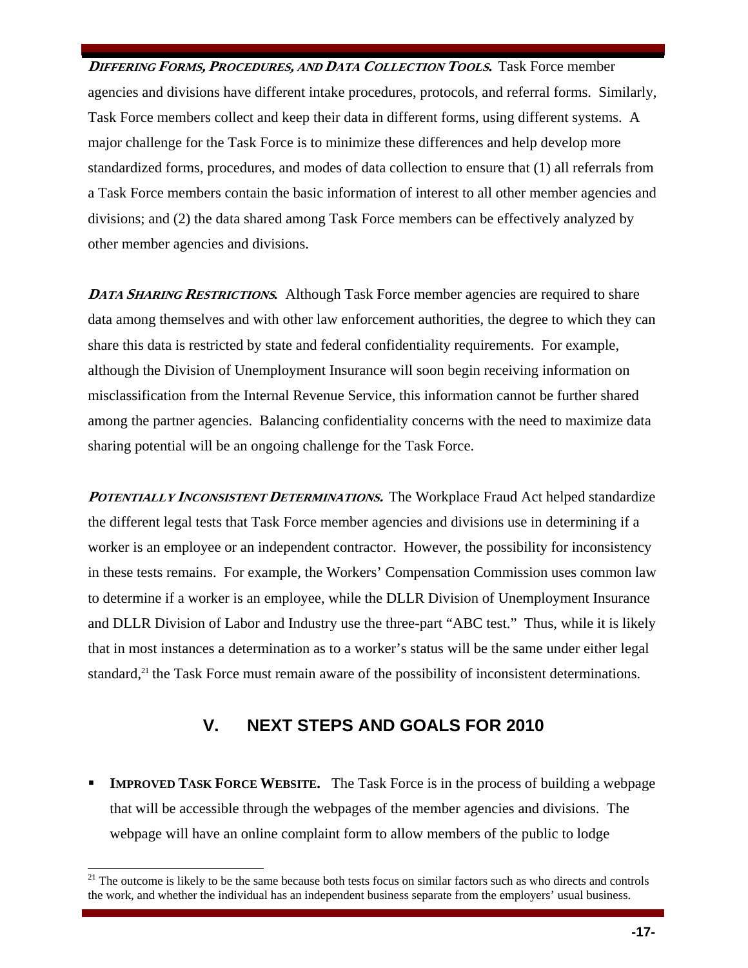**<sup>D</sup>IFFERING FORMS, <sup>P</sup>ROCEDURES, AND DATA COLLECTION TOOLS.** Task Force member agencies and divisions have different intake procedures, protocols, and referral forms. Similarly, Task Force members collect and keep their data in different forms, using different systems. A major challenge for the Task Force is to minimize these differences and help develop more standardized forms, procedures, and modes of data collection to ensure that (1) all referrals from a Task Force members contain the basic information of interest to all other member agencies and divisions; and (2) the data shared among Task Force members can be effectively analyzed by other member agencies and divisions.

**DATA SHARING RESTRICTIONS.** Although Task Force member agencies are required to share data among themselves and with other law enforcement authorities, the degree to which they can share this data is restricted by state and federal confidentiality requirements. For example, although the Division of Unemployment Insurance will soon begin receiving information on misclassification from the Internal Revenue Service, this information cannot be further shared among the partner agencies. Balancing confidentiality concerns with the need to maximize data sharing potential will be an ongoing challenge for the Task Force.

**POTENTIALLY INCONSISTENT DETERMINATIONS.** The Workplace Fraud Act helped standardize the different legal tests that Task Force member agencies and divisions use in determining if a worker is an employee or an independent contractor. However, the possibility for inconsistency in these tests remains. For example, the Workers' Compensation Commission uses common law to determine if a worker is an employee, while the DLLR Division of Unemployment Insurance and DLLR Division of Labor and Industry use the three-part "ABC test." Thus, while it is likely that in most instances a determination as to a worker's status will be the same under either legal standard,<sup>21</sup> the Task Force must remain aware of the possibility of inconsistent determinations.

## **V. NEXT STEPS AND GOALS FOR 2010**

**IMPROVED TASK FORCE WEBSITE.** The Task Force is in the process of building a webpage that will be accessible through the webpages of the member agencies and divisions. The webpage will have an online complaint form to allow members of the public to lodge

 $21$  The outcome is likely to be the same because both tests focus on similar factors such as who directs and controls the work, and whether the individual has an independent business separate from the employers' usual business.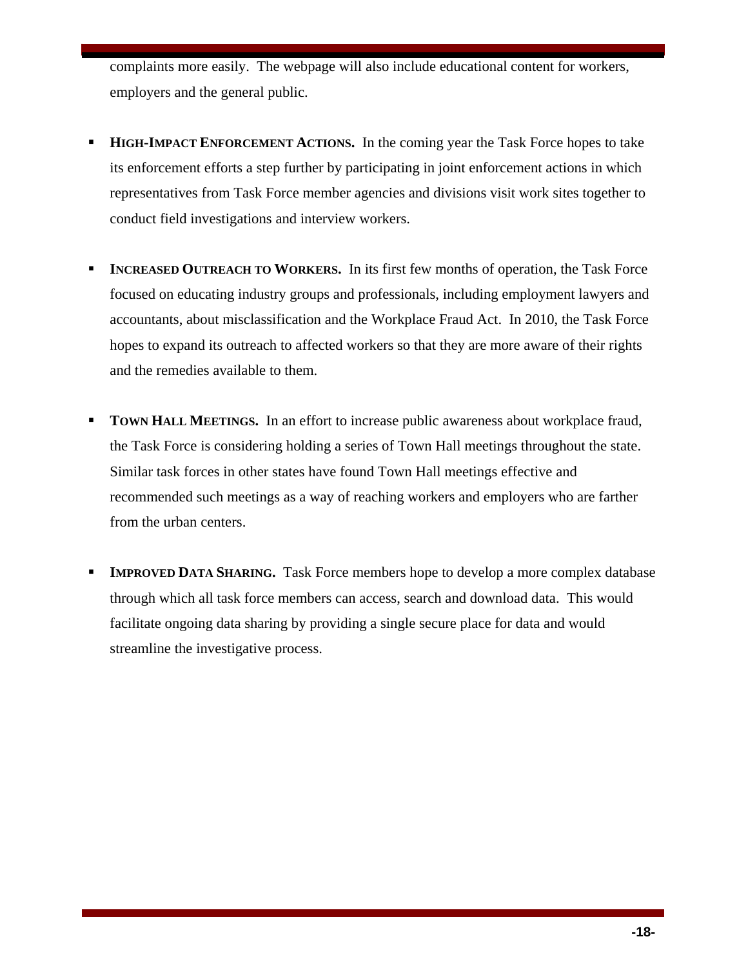complaints more easily. The webpage will also include educational content for workers, employers and the general public.

- **HIGH-IMPACT ENFORCEMENT ACTIONS.** In the coming year the Task Force hopes to take its enforcement efforts a step further by participating in joint enforcement actions in which representatives from Task Force member agencies and divisions visit work sites together to conduct field investigations and interview workers.
- **INCREASED OUTREACH TO WORKERS.** In its first few months of operation, the Task Force focused on educating industry groups and professionals, including employment lawyers and accountants, about misclassification and the Workplace Fraud Act. In 2010, the Task Force hopes to expand its outreach to affected workers so that they are more aware of their rights and the remedies available to them.
- **TOWN HALL MEETINGS.** In an effort to increase public awareness about workplace fraud, the Task Force is considering holding a series of Town Hall meetings throughout the state. Similar task forces in other states have found Town Hall meetings effective and recommended such meetings as a way of reaching workers and employers who are farther from the urban centers.
- **IMPROVED DATA SHARING.** Task Force members hope to develop a more complex database through which all task force members can access, search and download data. This would facilitate ongoing data sharing by providing a single secure place for data and would streamline the investigative process.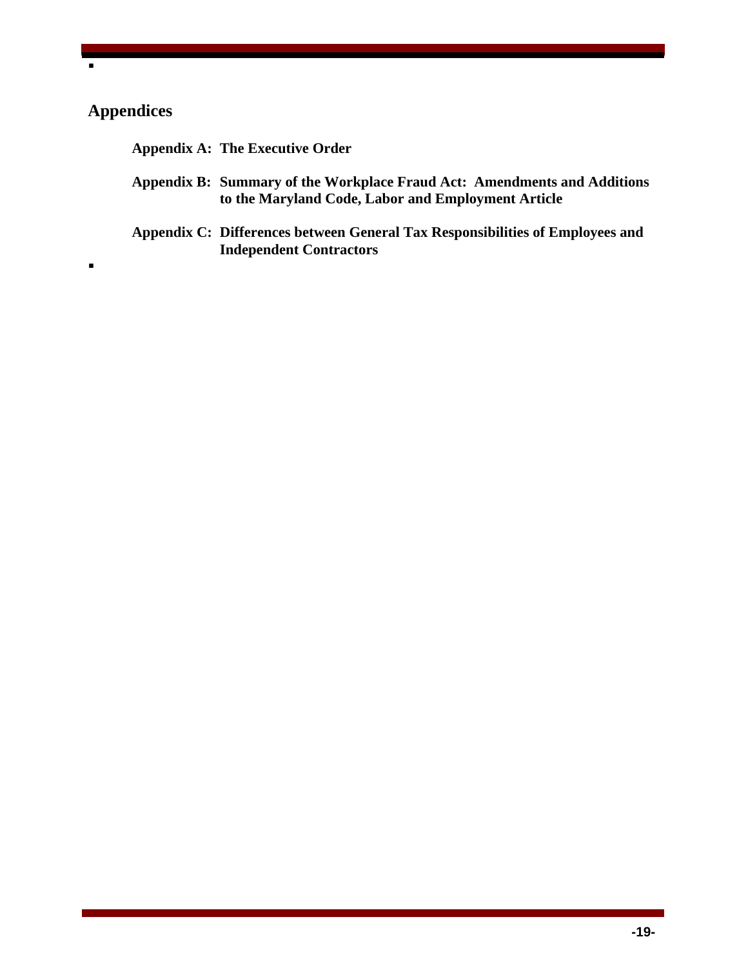## **Appendices**

 $\blacksquare$ 

 $\blacksquare$ 

**Appendix A: The Executive Order** 

- **Appendix B: Summary of the Workplace Fraud Act: Amendments and Additions to the Maryland Code, Labor and Employment Article**
- **Appendix C: Differences between General Tax Responsibilities of Employees and Independent Contractors**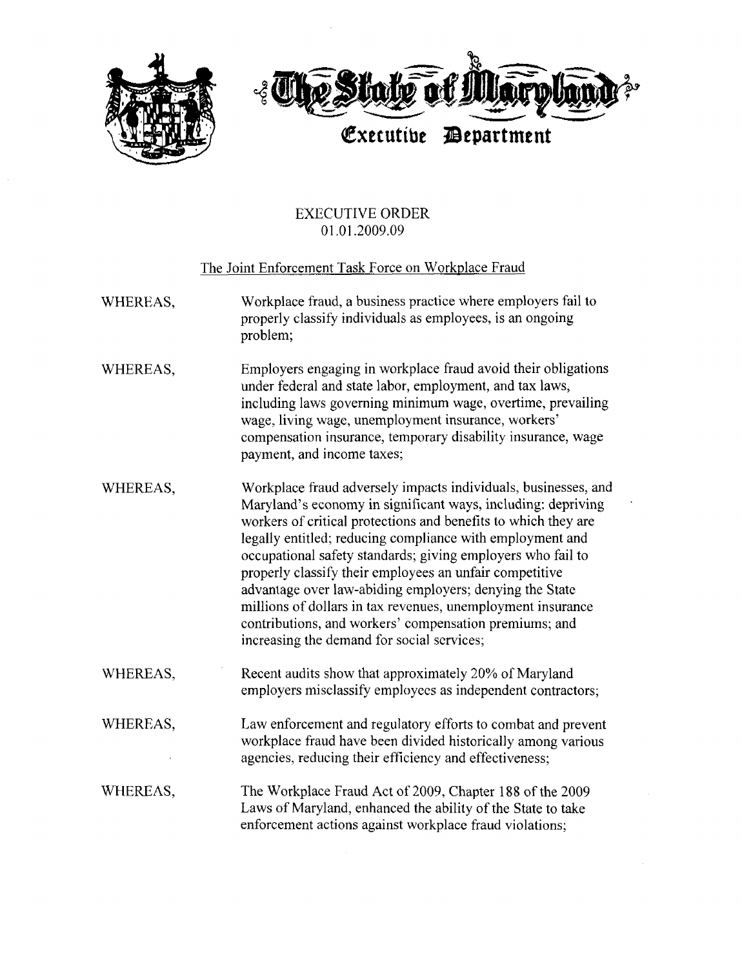

#### **EXECUTIVE ORDER** 01.01.2009.09

#### The Joint Enforcement Task Force on Workplace Fraud

- Workplace fraud, a business practice where employers fail to WHEREAS, properly classify individuals as employees, is an ongoing problem;
- WHEREAS, Employers engaging in workplace fraud avoid their obligations under federal and state labor, employment, and tax laws, including laws governing minimum wage, overtime, prevailing wage, living wage, unemployment insurance, workers' compensation insurance, temporary disability insurance, wage payment, and income taxes;
- Workplace fraud adversely impacts individuals, businesses, and WHEREAS, Maryland's economy in significant ways, including: depriving workers of critical protections and benefits to which they are legally entitled; reducing compliance with employment and occupational safety standards; giving employers who fail to properly classify their employees an unfair competitive advantage over law-abiding employers; denying the State millions of dollars in tax revenues, unemployment insurance contributions, and workers' compensation premiums; and increasing the demand for social services;
- WHEREAS, Recent audits show that approximately 20% of Maryland employers misclassify employees as independent contractors:
- Law enforcement and regulatory efforts to combat and prevent WHEREAS, workplace fraud have been divided historically among various agencies, reducing their efficiency and effectiveness;
- The Workplace Fraud Act of 2009, Chapter 188 of the 2009 WHEREAS. Laws of Maryland, enhanced the ability of the State to take enforcement actions against workplace fraud violations;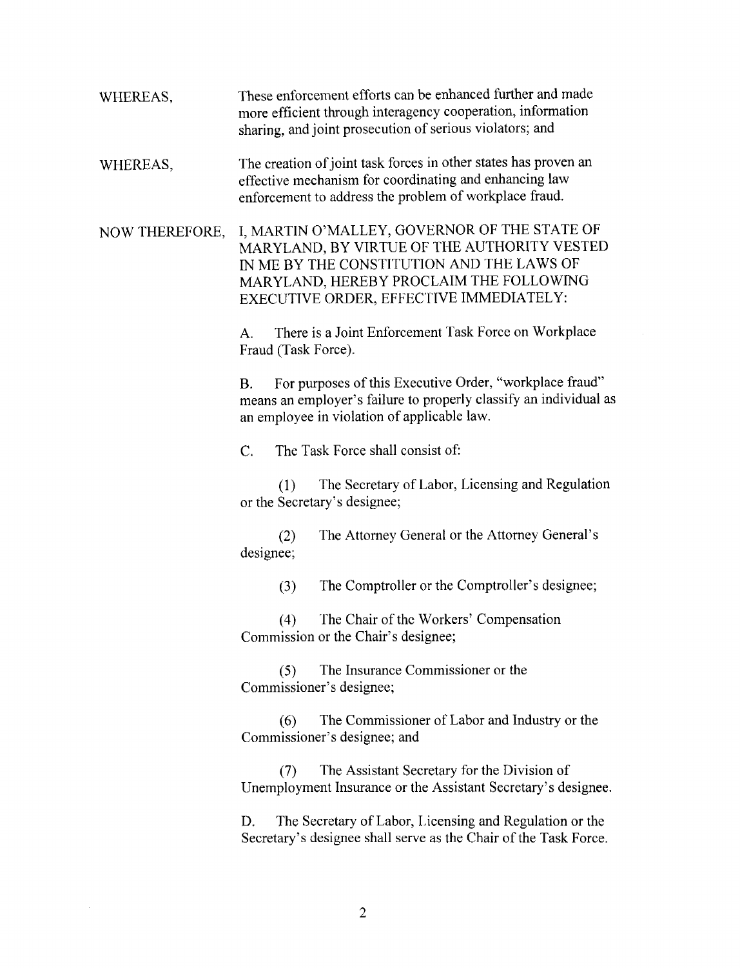- These enforcement efforts can be enhanced further and made WHEREAS, more efficient through interagency cooperation, information sharing, and joint prosecution of serious violators; and
- The creation of joint task forces in other states has proven an WHEREAS, effective mechanism for coordinating and enhancing law enforcement to address the problem of workplace fraud.

I, MARTIN O'MALLEY, GOVERNOR OF THE STATE OF NOW THEREFORE, MARYLAND, BY VIRTUE OF THE AUTHORITY VESTED IN ME BY THE CONSTITUTION AND THE LAWS OF MARYLAND, HEREBY PROCLAIM THE FOLLOWING EXECUTIVE ORDER, EFFECTIVE IMMEDIATELY:

> There is a Joint Enforcement Task Force on Workplace  $\mathbf{A}$ . Fraud (Task Force).

For purposes of this Executive Order, "workplace fraud"  $\mathbf{B}$ . means an employer's failure to properly classify an individual as an employee in violation of applicable law.

 $\overline{C}$ . The Task Force shall consist of:

The Secretary of Labor, Licensing and Regulation  $(1)$ or the Secretary's designee;

The Attorney General or the Attorney General's  $(2)$ designee;

> The Comptroller or the Comptroller's designee;  $(3)$

The Chair of the Workers' Compensation  $(4)$ Commission or the Chair's designee;

The Insurance Commissioner or the  $(5)$ Commissioner's designee;

The Commissioner of Labor and Industry or the  $(6)$ Commissioner's designee; and

The Assistant Secretary for the Division of  $(7)$ Unemployment Insurance or the Assistant Secretary's designee.

The Secretary of Labor, Licensing and Regulation or the D. Secretary's designee shall serve as the Chair of the Task Force.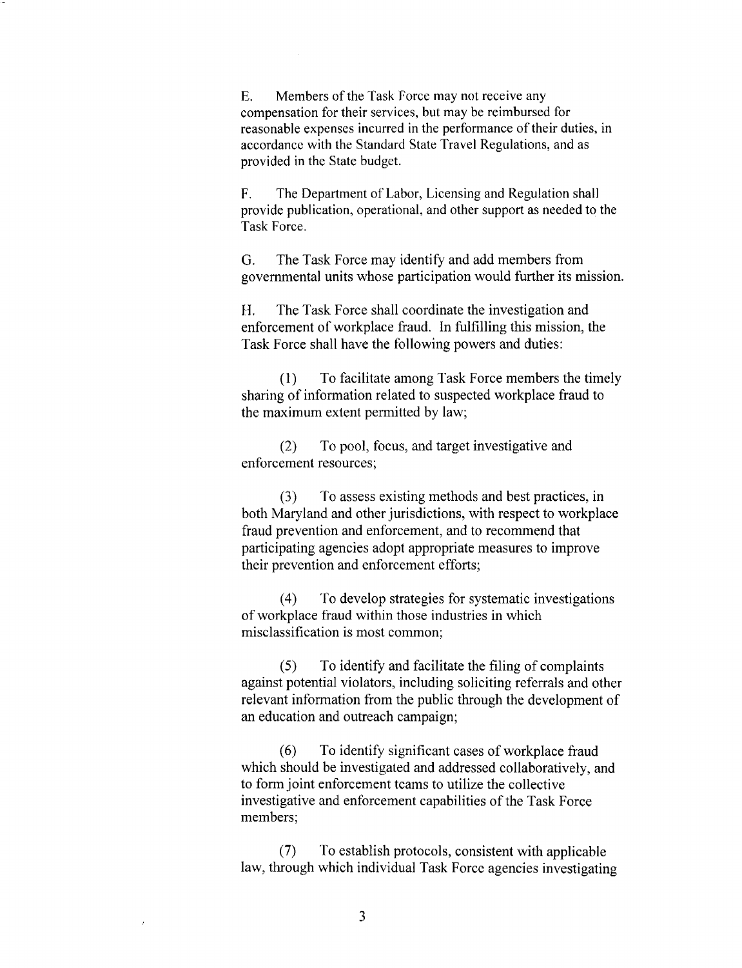$E_{\rm{L}}$ Members of the Task Force may not receive any compensation for their services, but may be reimbursed for reasonable expenses incurred in the performance of their duties, in accordance with the Standard State Travel Regulations, and as provided in the State budget.

 $F.$ The Department of Labor, Licensing and Regulation shall provide publication, operational, and other support as needed to the Task Force.

 $G_{-}$ The Task Force may identify and add members from governmental units whose participation would further its mission.

Н. The Task Force shall coordinate the investigation and enforcement of workplace fraud. In fulfilling this mission, the Task Force shall have the following powers and duties:

 $(1)$ To facilitate among Task Force members the timely sharing of information related to suspected workplace fraud to the maximum extent permitted by law;

To pool, focus, and target investigative and  $(2)$ enforcement resources;

 $(3)$ To assess existing methods and best practices, in both Maryland and other jurisdictions, with respect to workplace fraud prevention and enforcement, and to recommend that participating agencies adopt appropriate measures to improve their prevention and enforcement efforts;

To develop strategies for systematic investigations  $(4)$ of workplace fraud within those industries in which misclassification is most common;

To identify and facilitate the filing of complaints  $(5)$ against potential violators, including soliciting referrals and other relevant information from the public through the development of an education and outreach campaign;

To identify significant cases of workplace fraud  $(6)$ which should be investigated and addressed collaboratively, and to form joint enforcement teams to utilize the collective investigative and enforcement capabilities of the Task Force members:

To establish protocols, consistent with applicable  $(7)$ law, through which individual Task Force agencies investigating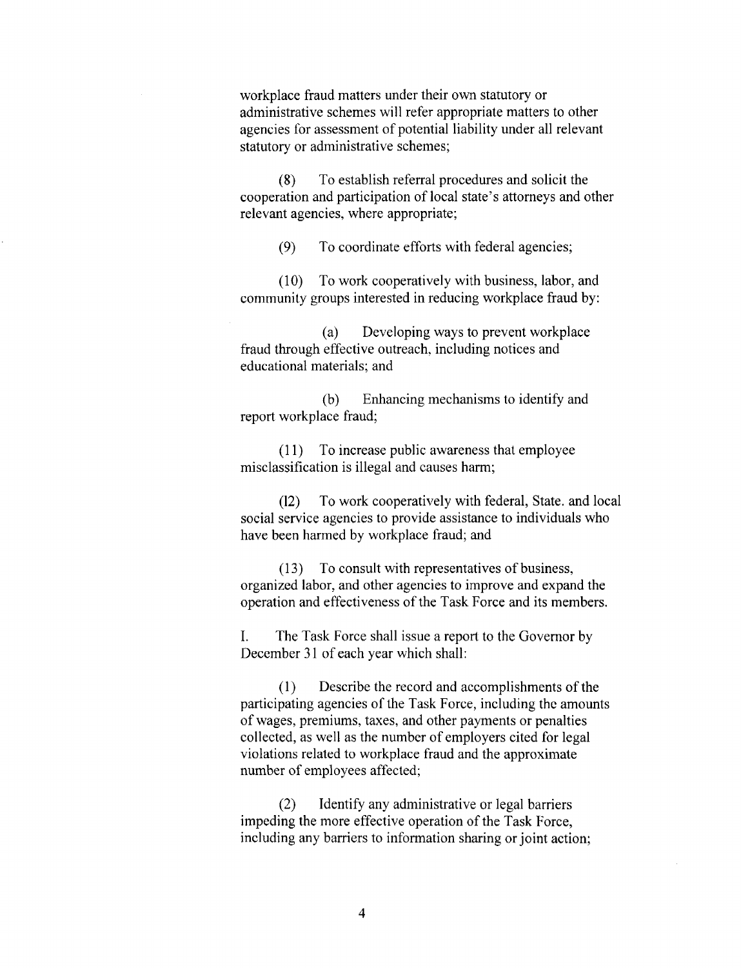workplace fraud matters under their own statutory or administrative schemes will refer appropriate matters to other agencies for assessment of potential liability under all relevant statutory or administrative schemes;

To establish referral procedures and solicit the  $(8)$ cooperation and participation of local state's attorneys and other relevant agencies, where appropriate;

> To coordinate efforts with federal agencies;  $(9)$

 $(10)$ To work cooperatively with business, labor, and community groups interested in reducing workplace fraud by:

Developing ways to prevent workplace  $(a)$ fraud through effective outreach, including notices and educational materials; and

Enhancing mechanisms to identify and (b) report workplace fraud;

(11) To increase public awareness that employee misclassification is illegal and causes harm;

To work cooperatively with federal, State, and local  $(12)$ social service agencies to provide assistance to individuals who have been harmed by workplace fraud; and

(13) To consult with representatives of business, organized labor, and other agencies to improve and expand the operation and effectiveness of the Task Force and its members.

L. The Task Force shall issue a report to the Governor by December 31 of each year which shall:

 $(1)$ Describe the record and accomplishments of the participating agencies of the Task Force, including the amounts of wages, premiums, taxes, and other payments or penalties collected, as well as the number of employers cited for legal violations related to workplace fraud and the approximate number of employees affected;

 $(2)$ Identify any administrative or legal barriers impeding the more effective operation of the Task Force, including any barriers to information sharing or joint action;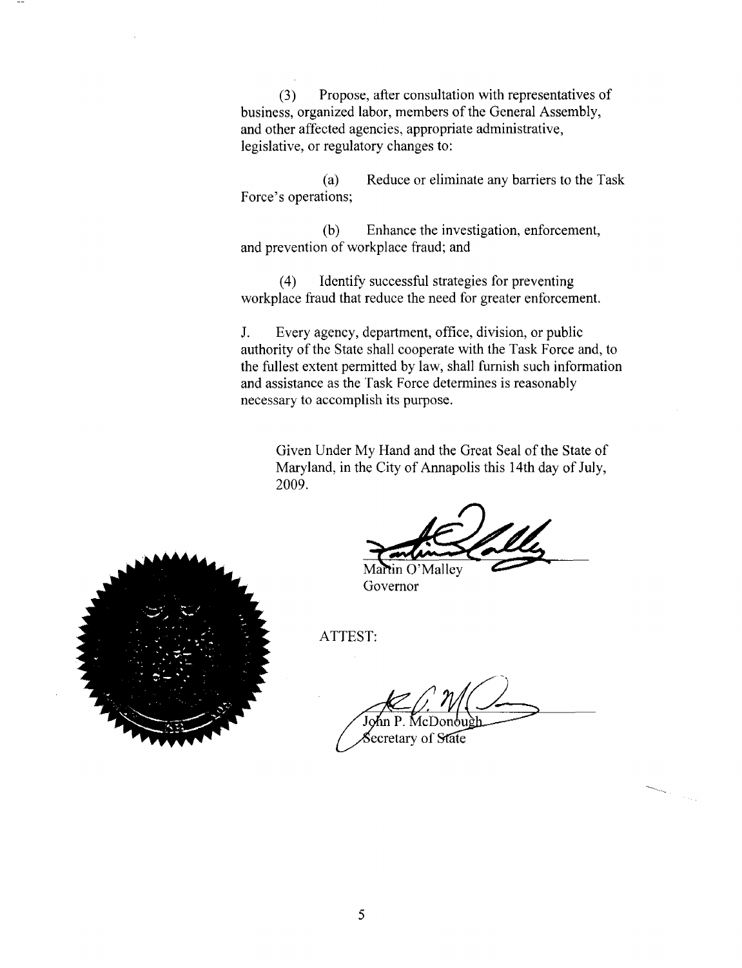$(3)$ Propose, after consultation with representatives of business, organized labor, members of the General Assembly, and other affected agencies, appropriate administrative, legislative, or regulatory changes to:

Reduce or eliminate any barriers to the Task  $(a)$ Force's operations;

Enhance the investigation, enforcement,  $(b)$ and prevention of workplace fraud; and

Identify successful strategies for preventing  $(4)$ workplace fraud that reduce the need for greater enforcement.

 $J_{-}$ Every agency, department, office, division, or public authority of the State shall cooperate with the Task Force and, to the fullest extent permitted by law, shall furnish such information and assistance as the Task Force determines is reasonably necessary to accomplish its purpose.

Given Under My Hand and the Great Seal of the State of Maryland, in the City of Annapolis this 14th day of July, 2009.

Martin O'Malley Governor

ATTEST:

ecretary of State

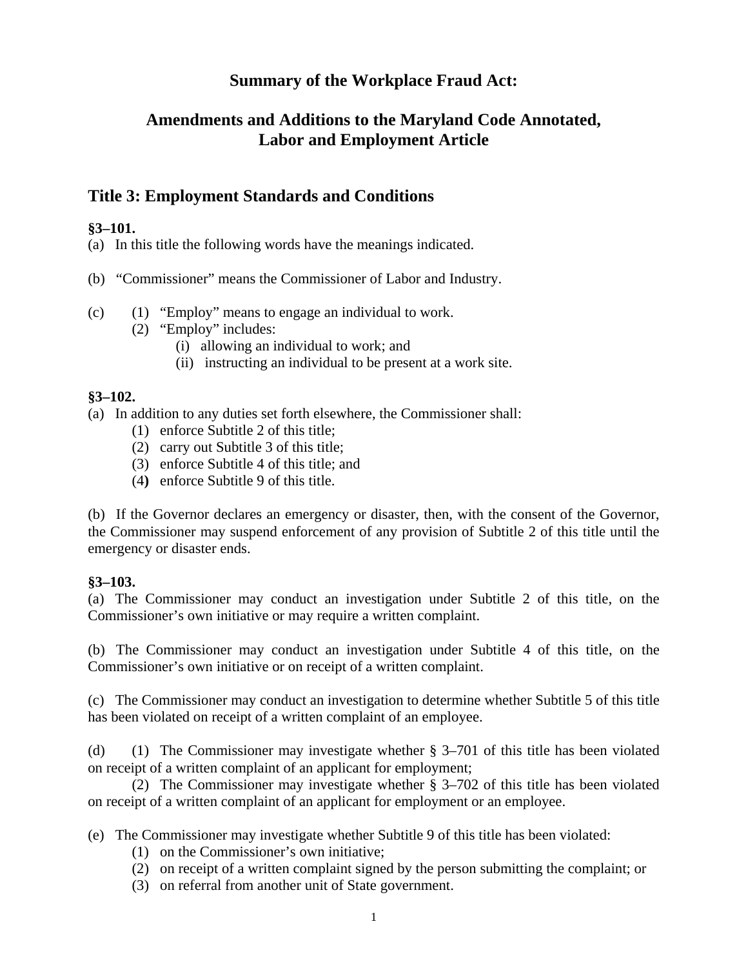## **Summary of the Workplace Fraud Act:**

## **Amendments and Additions to the Maryland Code Annotated, Labor and Employment Article**

## **Title 3: Employment Standards and Conditions**

#### **§3–101.**

(a) In this title the following words have the meanings indicated.

(b) "Commissioner" means the Commissioner of Labor and Industry.

- (c) (1) "Employ" means to engage an individual to work.
	- (2) "Employ" includes:
		- (i) allowing an individual to work; and
		- (ii) instructing an individual to be present at a work site.

#### **§3–102.**

(a) In addition to any duties set forth elsewhere, the Commissioner shall:

- (1) enforce Subtitle 2 of this title;
- (2) carry out Subtitle 3 of this title;
- (3) enforce Subtitle 4 of this title; and
- (4**)** enforce Subtitle 9 of this title.

(b) If the Governor declares an emergency or disaster, then, with the consent of the Governor, the Commissioner may suspend enforcement of any provision of Subtitle 2 of this title until the emergency or disaster ends.

#### **§3–103.**

(a) The Commissioner may conduct an investigation under Subtitle 2 of this title, on the Commissioner's own initiative or may require a written complaint.

(b) The Commissioner may conduct an investigation under Subtitle 4 of this title, on the Commissioner's own initiative or on receipt of a written complaint.

(c) The Commissioner may conduct an investigation to determine whether Subtitle 5 of this title has been violated on receipt of a written complaint of an employee.

(d) (1) The Commissioner may investigate whether § 3–701 of this title has been violated on receipt of a written complaint of an applicant for employment;

(2) The Commissioner may investigate whether § 3–702 of this title has been violated on receipt of a written complaint of an applicant for employment or an employee.

(e)The Commissioner may investigate whether Subtitle 9 of this title has been violated:

- (1) on the Commissioner's own initiative;
- (2) on receipt of a written complaint signed by the person submitting the complaint; or
- (3) on referral from another unit of State government.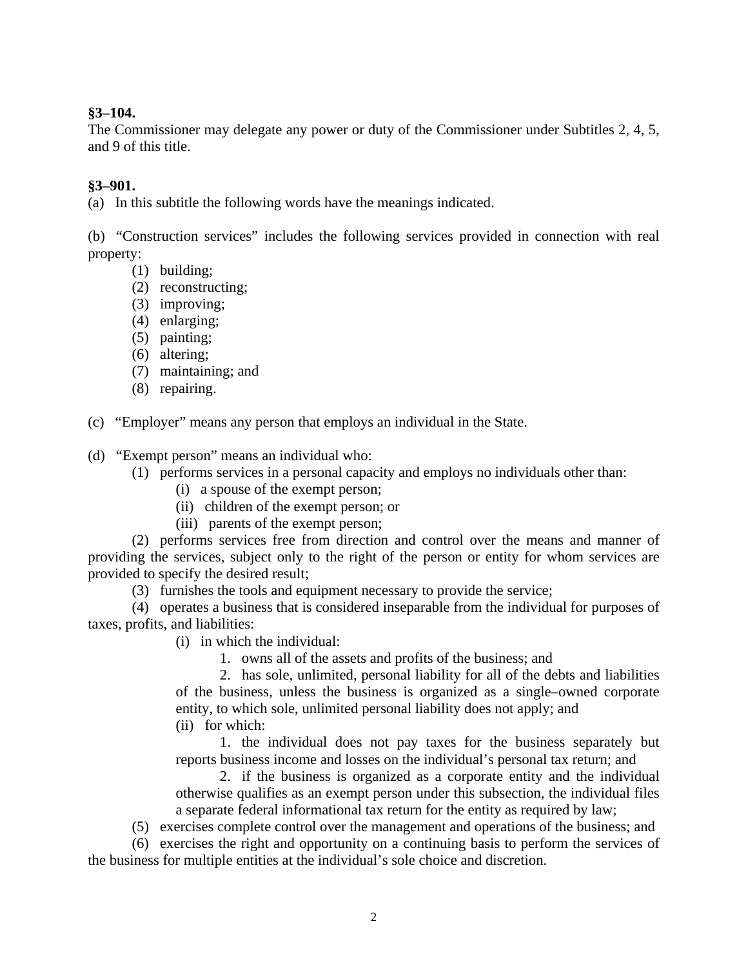#### **§3–104.**

The Commissioner may delegate any power or duty of the Commissioner under Subtitles 2, 4, 5, and 9 of this title.

#### **§3–901.**

(a) In this subtitle the following words have the meanings indicated.

(b) "Construction services" includes the following services provided in connection with real property:

- (1) building;
- (2) reconstructing;
- (3) improving;
- (4) enlarging;
- (5) painting;
- (6) altering;
- (7) maintaining; and
- (8) repairing.

(c) "Employer" means any person that employs an individual in the State.

(d) "Exempt person" means an individual who:

- (1) performs services in a personal capacity and employs no individuals other than:
	- (i) a spouse of the exempt person;
	- (ii) children of the exempt person; or
	- (iii) parents of the exempt person;

(2) performs services free from direction and control over the means and manner of providing the services, subject only to the right of the person or entity for whom services are provided to specify the desired result;

(3) furnishes the tools and equipment necessary to provide the service;

(4) operates a business that is considered inseparable from the individual for purposes of taxes, profits, and liabilities:

- (i) in which the individual:
	- 1. owns all of the assets and profits of the business; and

2. has sole, unlimited, personal liability for all of the debts and liabilities of the business, unless the business is organized as a single–owned corporate entity, to which sole, unlimited personal liability does not apply; and (ii) for which:

1. the individual does not pay taxes for the business separately but reports business income and losses on the individual's personal tax return; and

2. if the business is organized as a corporate entity and the individual otherwise qualifies as an exempt person under this subsection, the individual files a separate federal informational tax return for the entity as required by law;

(5) exercises complete control over the management and operations of the business; and

(6) exercises the right and opportunity on a continuing basis to perform the services of the business for multiple entities at the individual's sole choice and discretion.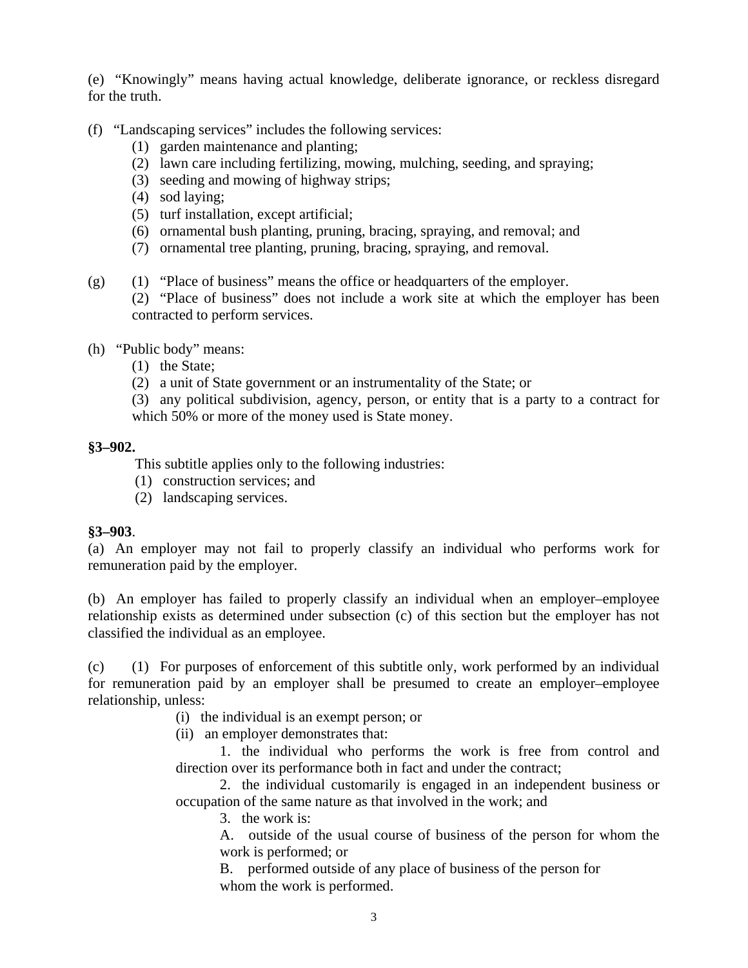(e) "Knowingly" means having actual knowledge, deliberate ignorance, or reckless disregard for the truth.

- (f) "Landscaping services" includes the following services:
	- (1) garden maintenance and planting;
	- (2) lawn care including fertilizing, mowing, mulching, seeding, and spraying;
	- (3) seeding and mowing of highway strips;
	- (4) sod laying;
	- (5) turf installation, except artificial;
	- (6) ornamental bush planting, pruning, bracing, spraying, and removal; and
	- (7) ornamental tree planting, pruning, bracing, spraying, and removal.
- (g) (1) "Place of business" means the office or headquarters of the employer.
	- (2) "Place of business" does not include a work site at which the employer has been contracted to perform services.
- (h) "Public body" means:
	- (1) the State;
	- (2) a unit of State government or an instrumentality of the State; or
	- (3) any political subdivision, agency, person, or entity that is a party to a contract for which 50% or more of the money used is State money.

#### **§3–902.**

This subtitle applies only to the following industries:

- (1) construction services; and
- (2) landscaping services.

#### **§3–903**.

(a) An employer may not fail to properly classify an individual who performs work for remuneration paid by the employer.

(b) An employer has failed to properly classify an individual when an employer–employee relationship exists as determined under subsection (c) of this section but the employer has not classified the individual as an employee.

(c) (1) For purposes of enforcement of this subtitle only, work performed by an individual for remuneration paid by an employer shall be presumed to create an employer–employee relationship, unless:

- (i) the individual is an exempt person; or
- (ii) an employer demonstrates that:

1. the individual who performs the work is free from control and direction over its performance both in fact and under the contract;

2. the individual customarily is engaged in an independent business or occupation of the same nature as that involved in the work; and

3. the work is:

A. outside of the usual course of business of the person for whom the work is performed; or

B. performed outside of any place of business of the person for whom the work is performed.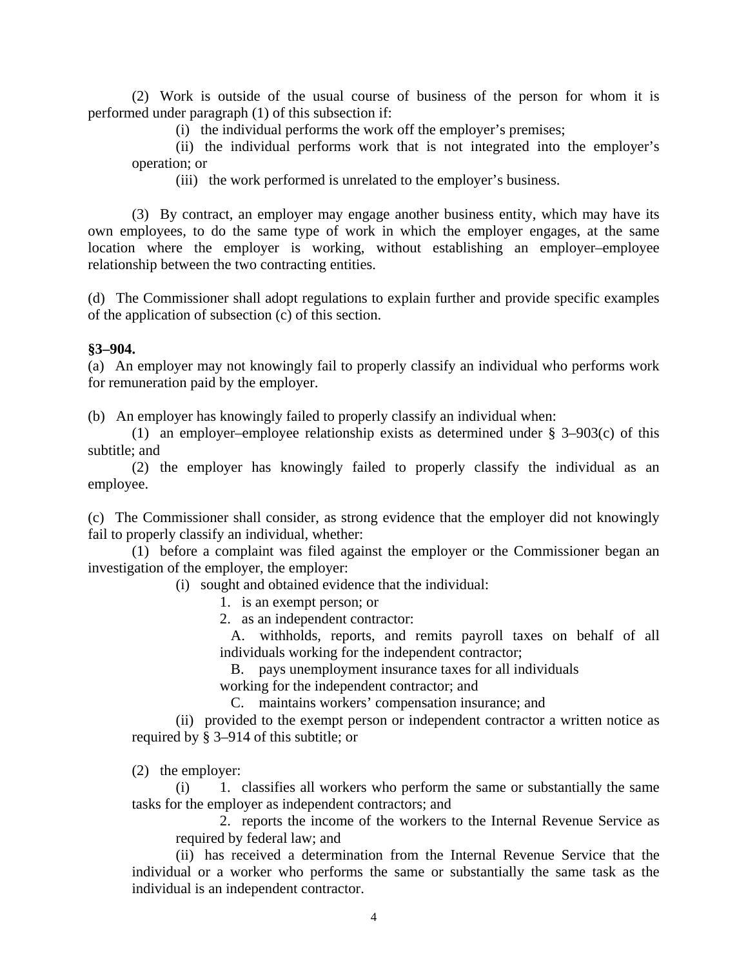(2) Work is outside of the usual course of business of the person for whom it is performed under paragraph (1) of this subsection if:

(i) the individual performs the work off the employer's premises;

(ii) the individual performs work that is not integrated into the employer's operation; or

(iii) the work performed is unrelated to the employer's business.

(3) By contract, an employer may engage another business entity, which may have its own employees, to do the same type of work in which the employer engages, at the same location where the employer is working, without establishing an employer–employee relationship between the two contracting entities.

(d) The Commissioner shall adopt regulations to explain further and provide specific examples of the application of subsection (c) of this section.

#### **§3–904.**

(a) An employer may not knowingly fail to properly classify an individual who performs work for remuneration paid by the employer.

(b) An employer has knowingly failed to properly classify an individual when:

(1) an employer–employee relationship exists as determined under § 3–903(c) of this subtitle; and

(2) the employer has knowingly failed to properly classify the individual as an employee.

(c) The Commissioner shall consider, as strong evidence that the employer did not knowingly fail to properly classify an individual, whether:

(1) before a complaint was filed against the employer or the Commissioner began an investigation of the employer, the employer:

(i) sought and obtained evidence that the individual:

1. is an exempt person; or

2. as an independent contractor:

 A. withholds, reports, and remits payroll taxes on behalf of all individuals working for the independent contractor;

B. pays unemployment insurance taxes for all individuals

working for the independent contractor; and

C. maintains workers' compensation insurance; and

(ii) provided to the exempt person or independent contractor a written notice as required by § 3–914 of this subtitle; or

(2) the employer:

(i) 1. classifies all workers who perform the same or substantially the same tasks for the employer as independent contractors; and

2. reports the income of the workers to the Internal Revenue Service as required by federal law; and

(ii) has received a determination from the Internal Revenue Service that the individual or a worker who performs the same or substantially the same task as the individual is an independent contractor.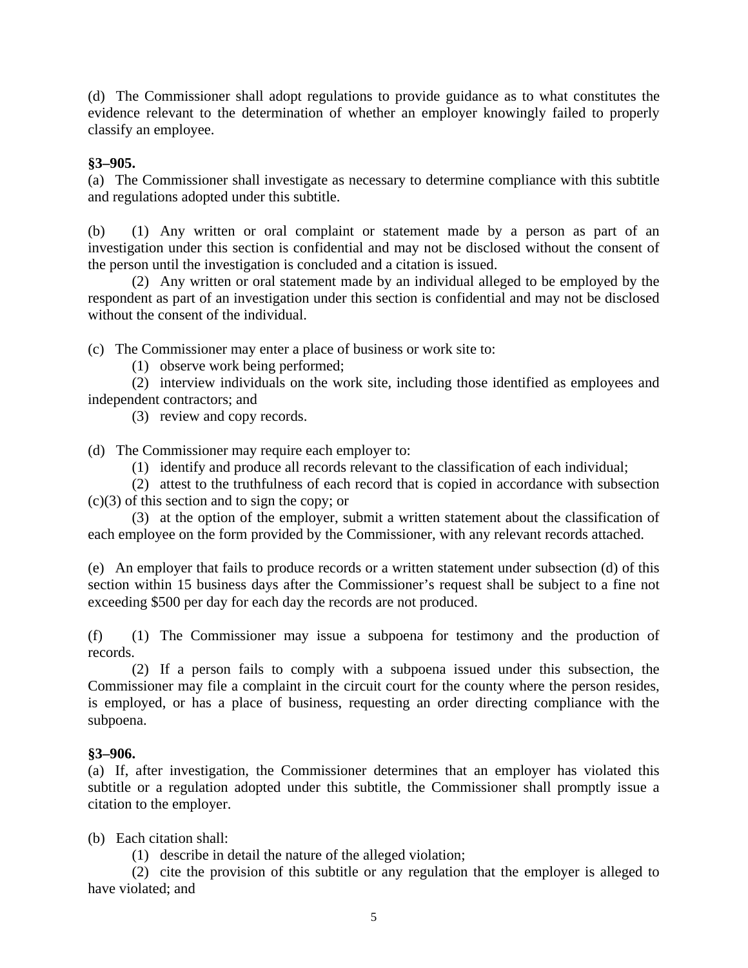(d) The Commissioner shall adopt regulations to provide guidance as to what constitutes the evidence relevant to the determination of whether an employer knowingly failed to properly classify an employee.

#### **§3–905.**

(a) The Commissioner shall investigate as necessary to determine compliance with this subtitle and regulations adopted under this subtitle.

(b) (1) Any written or oral complaint or statement made by a person as part of an investigation under this section is confidential and may not be disclosed without the consent of the person until the investigation is concluded and a citation is issued.

(2) Any written or oral statement made by an individual alleged to be employed by the respondent as part of an investigation under this section is confidential and may not be disclosed without the consent of the individual.

(c) The Commissioner may enter a place of business or work site to:

(1) observe work being performed;

(2) interview individuals on the work site, including those identified as employees and independent contractors; and

(3) review and copy records.

(d) The Commissioner may require each employer to:

(1) identify and produce all records relevant to the classification of each individual;

(2) attest to the truthfulness of each record that is copied in accordance with subsection  $(c)(3)$  of this section and to sign the copy; or

(3) at the option of the employer, submit a written statement about the classification of each employee on the form provided by the Commissioner, with any relevant records attached.

(e) An employer that fails to produce records or a written statement under subsection (d) of this section within 15 business days after the Commissioner's request shall be subject to a fine not exceeding \$500 per day for each day the records are not produced.

(f) (1) The Commissioner may issue a subpoena for testimony and the production of records.

(2) If a person fails to comply with a subpoena issued under this subsection, the Commissioner may file a complaint in the circuit court for the county where the person resides, is employed, or has a place of business, requesting an order directing compliance with the subpoena.

#### **§3–906.**

(a) If, after investigation, the Commissioner determines that an employer has violated this subtitle or a regulation adopted under this subtitle, the Commissioner shall promptly issue a citation to the employer.

(b) Each citation shall:

(1) describe in detail the nature of the alleged violation;

(2) cite the provision of this subtitle or any regulation that the employer is alleged to have violated; and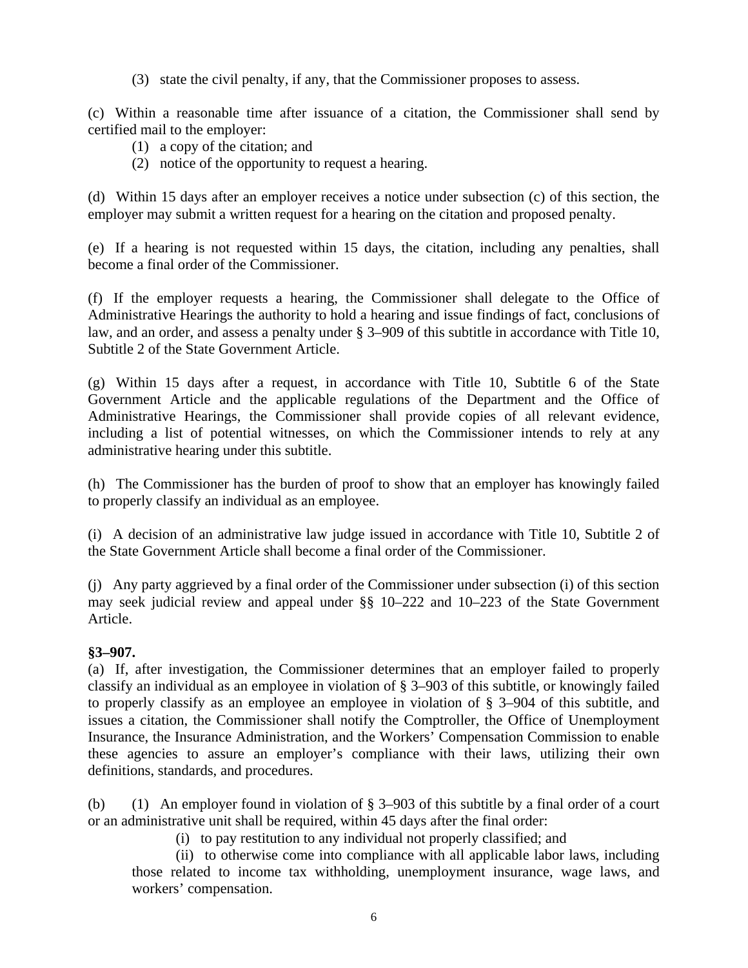(3) state the civil penalty, if any, that the Commissioner proposes to assess.

(c) Within a reasonable time after issuance of a citation, the Commissioner shall send by certified mail to the employer:

- (1) a copy of the citation; and
- (2) notice of the opportunity to request a hearing.

(d) Within 15 days after an employer receives a notice under subsection (c) of this section, the employer may submit a written request for a hearing on the citation and proposed penalty.

(e) If a hearing is not requested within 15 days, the citation, including any penalties, shall become a final order of the Commissioner.

(f) If the employer requests a hearing, the Commissioner shall delegate to the Office of Administrative Hearings the authority to hold a hearing and issue findings of fact, conclusions of law, and an order, and assess a penalty under § 3–909 of this subtitle in accordance with Title 10, Subtitle 2 of the State Government Article.

(g) Within 15 days after a request, in accordance with Title 10, Subtitle 6 of the State Government Article and the applicable regulations of the Department and the Office of Administrative Hearings, the Commissioner shall provide copies of all relevant evidence, including a list of potential witnesses, on which the Commissioner intends to rely at any administrative hearing under this subtitle.

(h) The Commissioner has the burden of proof to show that an employer has knowingly failed to properly classify an individual as an employee.

(i) A decision of an administrative law judge issued in accordance with Title 10, Subtitle 2 of the State Government Article shall become a final order of the Commissioner.

(j) Any party aggrieved by a final order of the Commissioner under subsection (i) of this section may seek judicial review and appeal under §§ 10–222 and 10–223 of the State Government Article.

#### **§3–907.**

(a) If, after investigation, the Commissioner determines that an employer failed to properly classify an individual as an employee in violation of § 3–903 of this subtitle, or knowingly failed to properly classify as an employee an employee in violation of § 3–904 of this subtitle, and issues a citation, the Commissioner shall notify the Comptroller, the Office of Unemployment Insurance, the Insurance Administration, and the Workers' Compensation Commission to enable these agencies to assure an employer's compliance with their laws, utilizing their own definitions, standards, and procedures.

(b) (1) An employer found in violation of  $\S 3-903$  of this subtitle by a final order of a court or an administrative unit shall be required, within 45 days after the final order:

(i) to pay restitution to any individual not properly classified; and

(ii) to otherwise come into compliance with all applicable labor laws, including those related to income tax withholding, unemployment insurance, wage laws, and workers' compensation.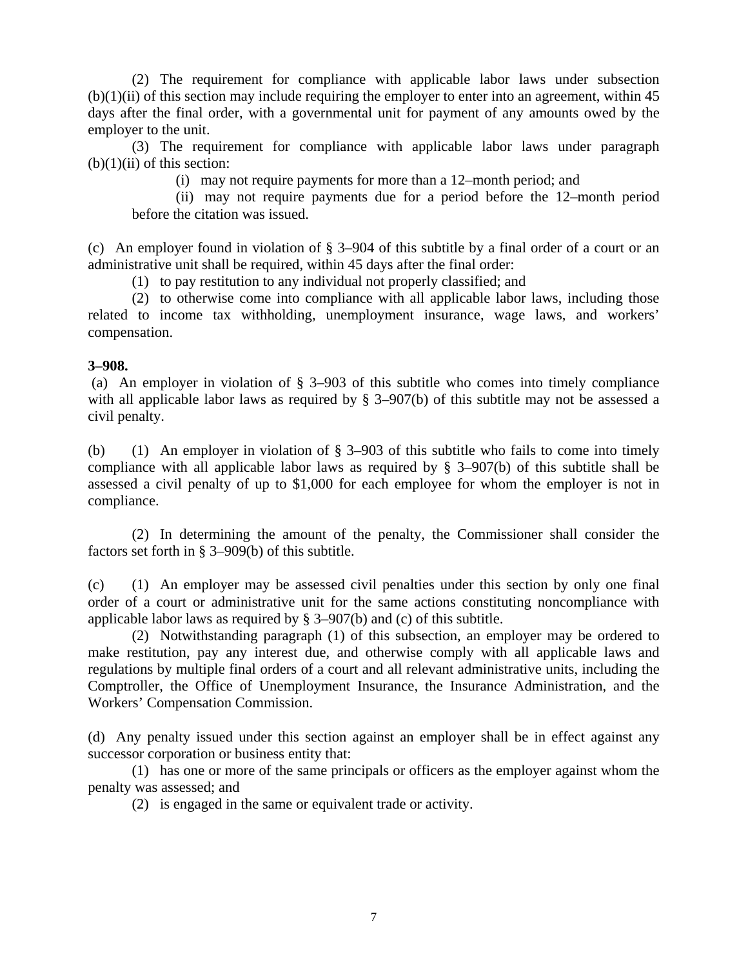(2) The requirement for compliance with applicable labor laws under subsection  $(b)(1)(ii)$  of this section may include requiring the employer to enter into an agreement, within 45 days after the final order, with a governmental unit for payment of any amounts owed by the employer to the unit.

(3) The requirement for compliance with applicable labor laws under paragraph  $(b)(1)(ii)$  of this section:

(i) may not require payments for more than a 12–month period; and

(ii) may not require payments due for a period before the 12–month period before the citation was issued.

(c) An employer found in violation of § 3–904 of this subtitle by a final order of a court or an administrative unit shall be required, within 45 days after the final order:

(1) to pay restitution to any individual not properly classified; and

(2) to otherwise come into compliance with all applicable labor laws, including those related to income tax withholding, unemployment insurance, wage laws, and workers' compensation.

#### **3–908.**

 (a) An employer in violation of § 3–903 of this subtitle who comes into timely compliance with all applicable labor laws as required by § 3–907(b) of this subtitle may not be assessed a civil penalty.

(b) (1) An employer in violation of § 3–903 of this subtitle who fails to come into timely compliance with all applicable labor laws as required by § 3–907(b) of this subtitle shall be assessed a civil penalty of up to \$1,000 for each employee for whom the employer is not in compliance.

(2) In determining the amount of the penalty, the Commissioner shall consider the factors set forth in § 3–909(b) of this subtitle.

(c) (1) An employer may be assessed civil penalties under this section by only one final order of a court or administrative unit for the same actions constituting noncompliance with applicable labor laws as required by § 3–907(b) and (c) of this subtitle.

(2) Notwithstanding paragraph (1) of this subsection, an employer may be ordered to make restitution, pay any interest due, and otherwise comply with all applicable laws and regulations by multiple final orders of a court and all relevant administrative units, including the Comptroller, the Office of Unemployment Insurance, the Insurance Administration, and the Workers' Compensation Commission.

(d) Any penalty issued under this section against an employer shall be in effect against any successor corporation or business entity that:

(1) has one or more of the same principals or officers as the employer against whom the penalty was assessed; and

(2) is engaged in the same or equivalent trade or activity.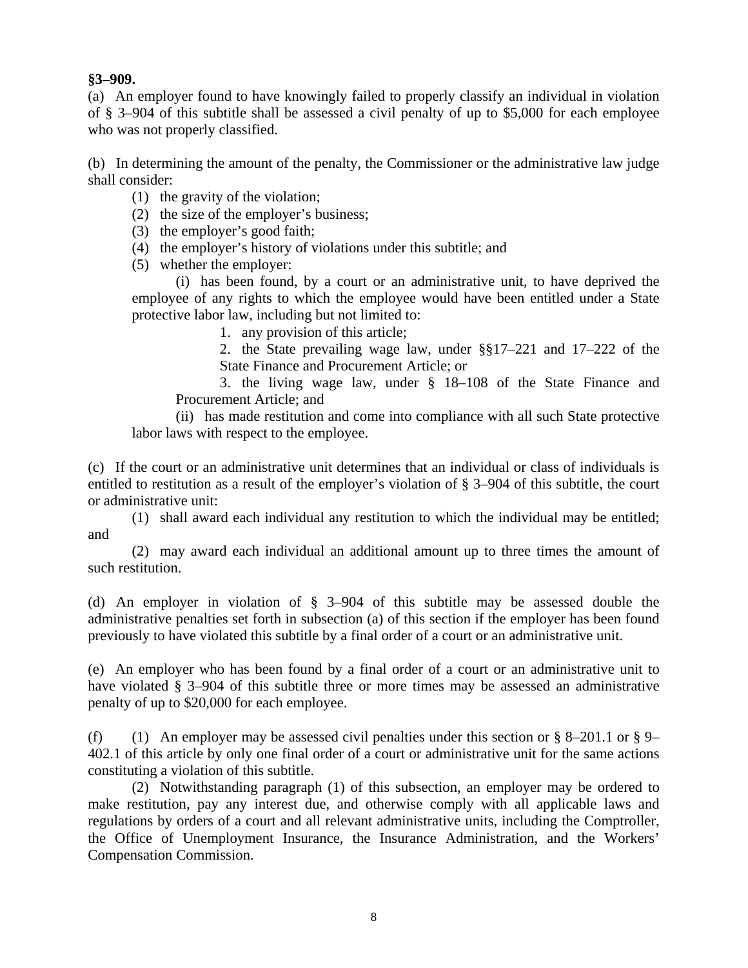#### **§3–909.**

(a) An employer found to have knowingly failed to properly classify an individual in violation of § 3–904 of this subtitle shall be assessed a civil penalty of up to \$5,000 for each employee who was not properly classified.

(b) In determining the amount of the penalty, the Commissioner or the administrative law judge shall consider:

- (1) the gravity of the violation;
- (2) the size of the employer's business;
- (3) the employer's good faith;
- (4) the employer's history of violations under this subtitle; and
- (5) whether the employer:

(i) has been found, by a court or an administrative unit, to have deprived the employee of any rights to which the employee would have been entitled under a State protective labor law, including but not limited to:

1. any provision of this article;

2. the State prevailing wage law, under §§17–221 and 17–222 of the State Finance and Procurement Article; or

3. the living wage law, under § 18–108 of the State Finance and Procurement Article; and

(ii) has made restitution and come into compliance with all such State protective labor laws with respect to the employee.

(c) If the court or an administrative unit determines that an individual or class of individuals is entitled to restitution as a result of the employer's violation of § 3–904 of this subtitle, the court or administrative unit:

(1) shall award each individual any restitution to which the individual may be entitled; and

(2) may award each individual an additional amount up to three times the amount of such restitution.

(d) An employer in violation of § 3–904 of this subtitle may be assessed double the administrative penalties set forth in subsection (a) of this section if the employer has been found previously to have violated this subtitle by a final order of a court or an administrative unit.

(e) An employer who has been found by a final order of a court or an administrative unit to have violated § 3–904 of this subtitle three or more times may be assessed an administrative penalty of up to \$20,000 for each employee.

(f) (1) An employer may be assessed civil penalties under this section or  $\S$  8–201.1 or  $\S$  9– 402.1 of this article by only one final order of a court or administrative unit for the same actions constituting a violation of this subtitle.

(2) Notwithstanding paragraph (1) of this subsection, an employer may be ordered to make restitution, pay any interest due, and otherwise comply with all applicable laws and regulations by orders of a court and all relevant administrative units, including the Comptroller, the Office of Unemployment Insurance, the Insurance Administration, and the Workers' Compensation Commission.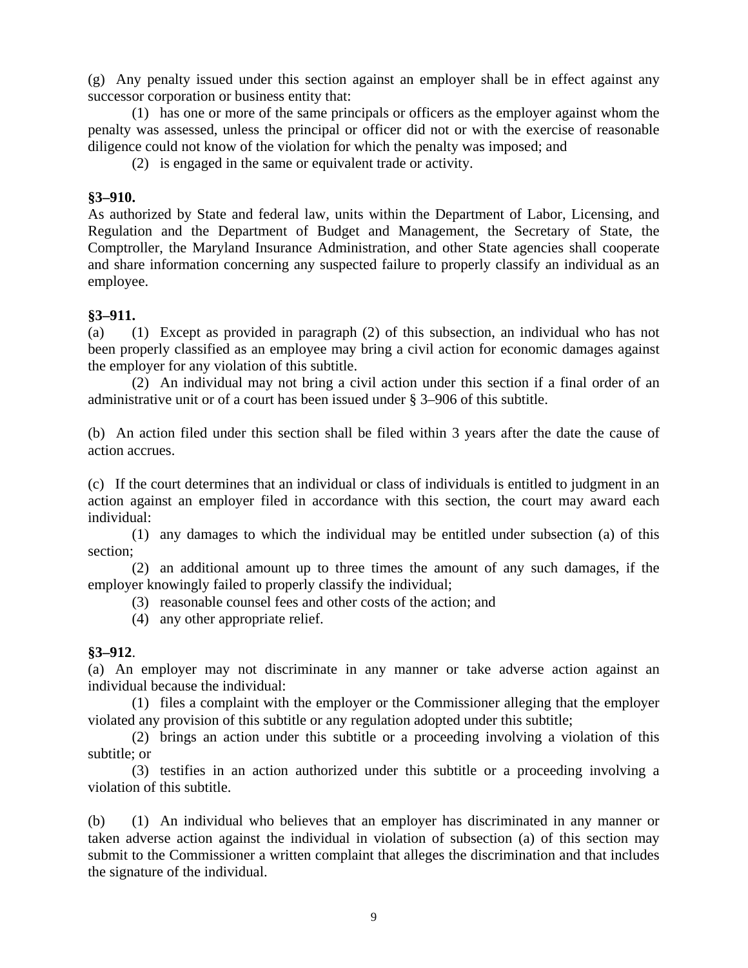(g) Any penalty issued under this section against an employer shall be in effect against any successor corporation or business entity that:

(1) has one or more of the same principals or officers as the employer against whom the penalty was assessed, unless the principal or officer did not or with the exercise of reasonable diligence could not know of the violation for which the penalty was imposed; and

(2) is engaged in the same or equivalent trade or activity.

#### **§3–910.**

As authorized by State and federal law, units within the Department of Labor, Licensing, and Regulation and the Department of Budget and Management, the Secretary of State, the Comptroller, the Maryland Insurance Administration, and other State agencies shall cooperate and share information concerning any suspected failure to properly classify an individual as an employee.

#### **§3–911.**

(a) (1) Except as provided in paragraph (2) of this subsection, an individual who has not been properly classified as an employee may bring a civil action for economic damages against the employer for any violation of this subtitle.

(2) An individual may not bring a civil action under this section if a final order of an administrative unit or of a court has been issued under § 3–906 of this subtitle.

(b) An action filed under this section shall be filed within 3 years after the date the cause of action accrues.

(c) If the court determines that an individual or class of individuals is entitled to judgment in an action against an employer filed in accordance with this section, the court may award each individual:

(1) any damages to which the individual may be entitled under subsection (a) of this section;

(2) an additional amount up to three times the amount of any such damages, if the employer knowingly failed to properly classify the individual;

(3) reasonable counsel fees and other costs of the action; and

(4) any other appropriate relief.

#### **§3–912**.

(a) An employer may not discriminate in any manner or take adverse action against an individual because the individual:

(1) files a complaint with the employer or the Commissioner alleging that the employer violated any provision of this subtitle or any regulation adopted under this subtitle;

(2) brings an action under this subtitle or a proceeding involving a violation of this subtitle; or

(3) testifies in an action authorized under this subtitle or a proceeding involving a violation of this subtitle.

(b) (1) An individual who believes that an employer has discriminated in any manner or taken adverse action against the individual in violation of subsection (a) of this section may submit to the Commissioner a written complaint that alleges the discrimination and that includes the signature of the individual.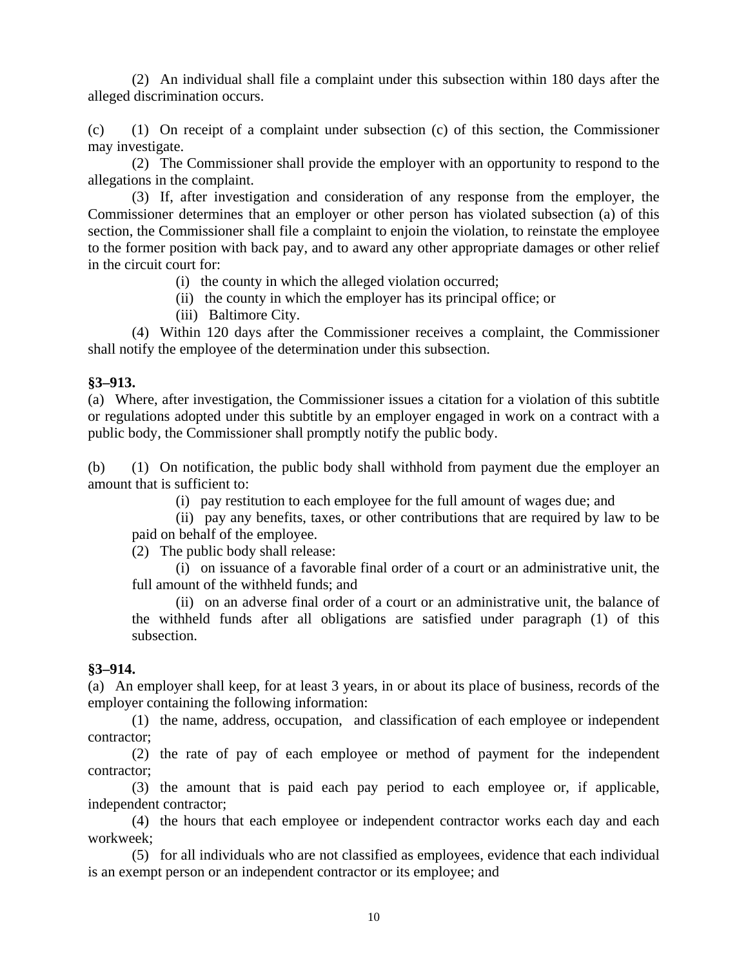(2) An individual shall file a complaint under this subsection within 180 days after the alleged discrimination occurs.

(c) (1) On receipt of a complaint under subsection (c) of this section, the Commissioner may investigate.

(2) The Commissioner shall provide the employer with an opportunity to respond to the allegations in the complaint.

(3) If, after investigation and consideration of any response from the employer, the Commissioner determines that an employer or other person has violated subsection (a) of this section, the Commissioner shall file a complaint to enjoin the violation, to reinstate the employee to the former position with back pay, and to award any other appropriate damages or other relief in the circuit court for:

(i) the county in which the alleged violation occurred;

(ii) the county in which the employer has its principal office; or

(iii) Baltimore City.

(4) Within 120 days after the Commissioner receives a complaint, the Commissioner shall notify the employee of the determination under this subsection.

#### **§3–913.**

(a) Where, after investigation, the Commissioner issues a citation for a violation of this subtitle or regulations adopted under this subtitle by an employer engaged in work on a contract with a public body, the Commissioner shall promptly notify the public body.

(b) (1) On notification, the public body shall withhold from payment due the employer an amount that is sufficient to:

(i) pay restitution to each employee for the full amount of wages due; and

(ii) pay any benefits, taxes, or other contributions that are required by law to be paid on behalf of the employee.

(2) The public body shall release:

(i) on issuance of a favorable final order of a court or an administrative unit, the full amount of the withheld funds; and

(ii) on an adverse final order of a court or an administrative unit, the balance of the withheld funds after all obligations are satisfied under paragraph (1) of this subsection.

#### **§3–914.**

(a) An employer shall keep, for at least 3 years, in or about its place of business, records of the employer containing the following information:

(1) the name, address, occupation, and classification of each employee or independent contractor;

(2) the rate of pay of each employee or method of payment for the independent contractor;

(3) the amount that is paid each pay period to each employee or, if applicable, independent contractor;

(4) the hours that each employee or independent contractor works each day and each workweek;

(5) for all individuals who are not classified as employees, evidence that each individual is an exempt person or an independent contractor or its employee; and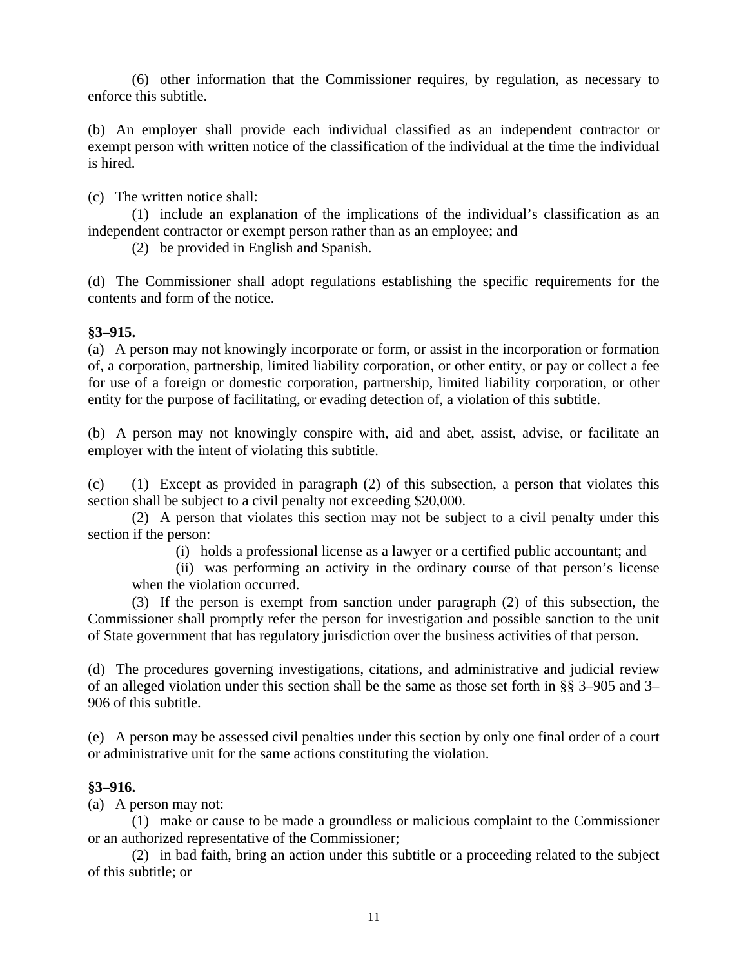(6) other information that the Commissioner requires, by regulation, as necessary to enforce this subtitle.

(b) An employer shall provide each individual classified as an independent contractor or exempt person with written notice of the classification of the individual at the time the individual is hired.

(c) The written notice shall:

(1) include an explanation of the implications of the individual's classification as an independent contractor or exempt person rather than as an employee; and

(2) be provided in English and Spanish.

(d) The Commissioner shall adopt regulations establishing the specific requirements for the contents and form of the notice.

#### **§3–915.**

(a) A person may not knowingly incorporate or form, or assist in the incorporation or formation of, a corporation, partnership, limited liability corporation, or other entity, or pay or collect a fee for use of a foreign or domestic corporation, partnership, limited liability corporation, or other entity for the purpose of facilitating, or evading detection of, a violation of this subtitle.

(b) A person may not knowingly conspire with, aid and abet, assist, advise, or facilitate an employer with the intent of violating this subtitle.

(c) (1) Except as provided in paragraph (2) of this subsection, a person that violates this section shall be subject to a civil penalty not exceeding \$20,000.

(2) A person that violates this section may not be subject to a civil penalty under this section if the person:

(i) holds a professional license as a lawyer or a certified public accountant; and

(ii) was performing an activity in the ordinary course of that person's license when the violation occurred.

(3) If the person is exempt from sanction under paragraph (2) of this subsection, the Commissioner shall promptly refer the person for investigation and possible sanction to the unit of State government that has regulatory jurisdiction over the business activities of that person.

(d) The procedures governing investigations, citations, and administrative and judicial review of an alleged violation under this section shall be the same as those set forth in §§ 3–905 and 3– 906 of this subtitle.

(e) A person may be assessed civil penalties under this section by only one final order of a court or administrative unit for the same actions constituting the violation.

#### **§3–916.**

(a) A person may not:

(1) make or cause to be made a groundless or malicious complaint to the Commissioner or an authorized representative of the Commissioner;

(2) in bad faith, bring an action under this subtitle or a proceeding related to the subject of this subtitle; or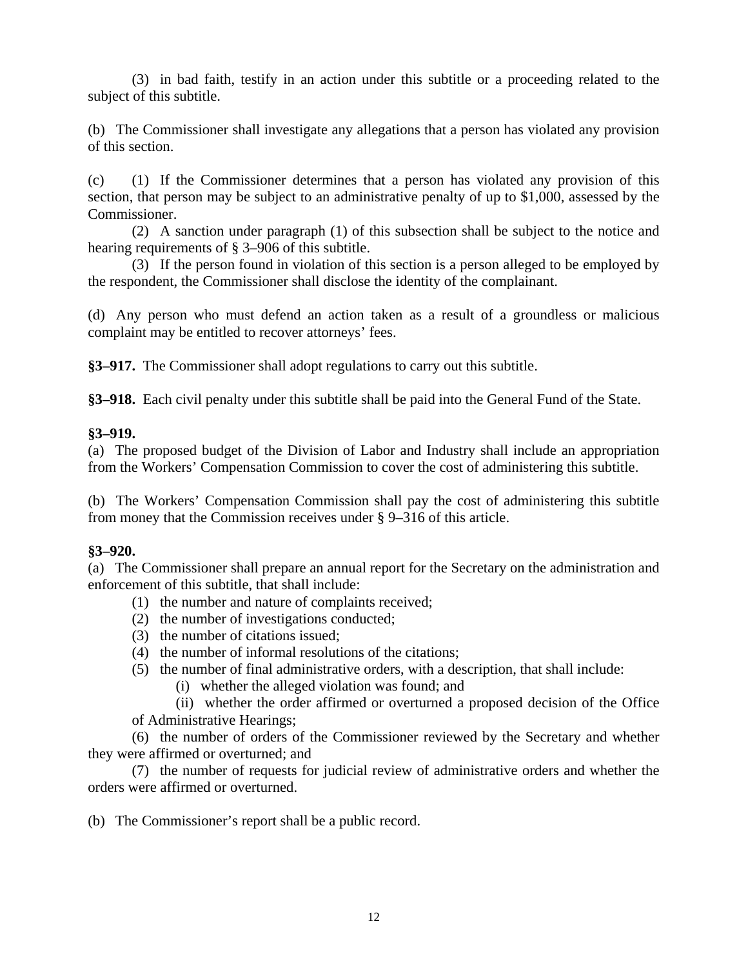(3) in bad faith, testify in an action under this subtitle or a proceeding related to the subject of this subtitle.

(b) The Commissioner shall investigate any allegations that a person has violated any provision of this section.

(c) (1) If the Commissioner determines that a person has violated any provision of this section, that person may be subject to an administrative penalty of up to \$1,000, assessed by the Commissioner.

(2) A sanction under paragraph (1) of this subsection shall be subject to the notice and hearing requirements of § 3–906 of this subtitle.

(3) If the person found in violation of this section is a person alleged to be employed by the respondent, the Commissioner shall disclose the identity of the complainant.

(d) Any person who must defend an action taken as a result of a groundless or malicious complaint may be entitled to recover attorneys' fees.

**§3–917.** The Commissioner shall adopt regulations to carry out this subtitle.

**§3–918.** Each civil penalty under this subtitle shall be paid into the General Fund of the State.

#### **§3–919.**

(a) The proposed budget of the Division of Labor and Industry shall include an appropriation from the Workers' Compensation Commission to cover the cost of administering this subtitle.

(b) The Workers' Compensation Commission shall pay the cost of administering this subtitle from money that the Commission receives under § 9–316 of this article.

#### **§3–920.**

(a) The Commissioner shall prepare an annual report for the Secretary on the administration and enforcement of this subtitle, that shall include:

- (1) the number and nature of complaints received;
- (2) the number of investigations conducted;
- (3) the number of citations issued;
- (4) the number of informal resolutions of the citations;
- (5) the number of final administrative orders, with a description, that shall include:
	- (i) whether the alleged violation was found; and

(ii) whether the order affirmed or overturned a proposed decision of the Office of Administrative Hearings;

(6) the number of orders of the Commissioner reviewed by the Secretary and whether they were affirmed or overturned; and

(7) the number of requests for judicial review of administrative orders and whether the orders were affirmed or overturned.

(b) The Commissioner's report shall be a public record.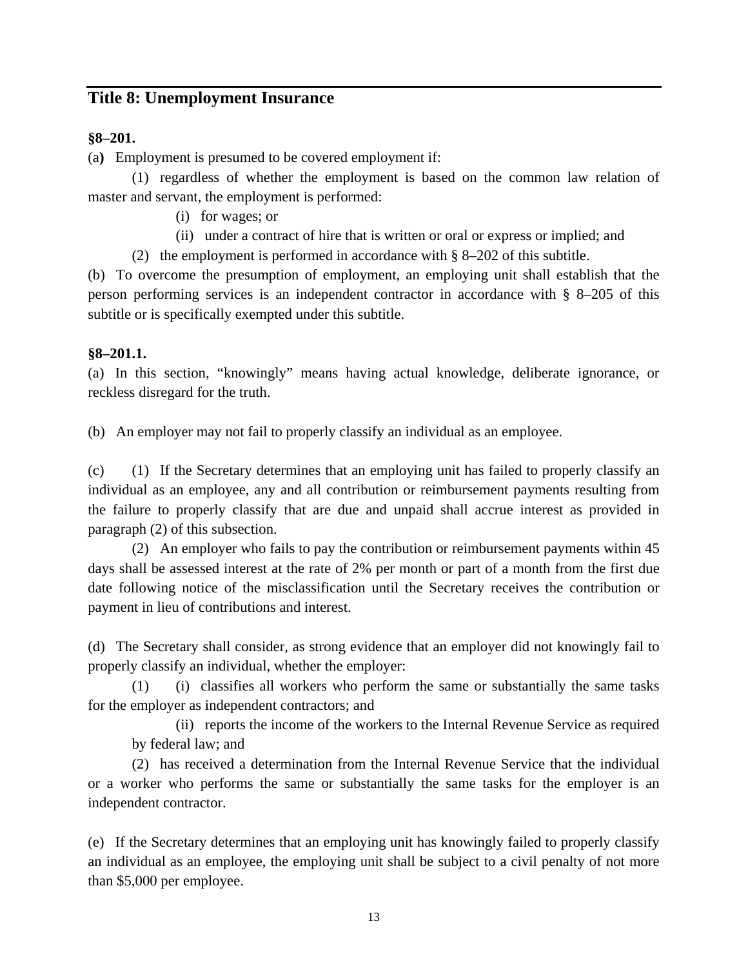## **Title 8: Unemployment Insurance**

### **§8–201.**

(a**)** Employment is presumed to be covered employment if:

(1) regardless of whether the employment is based on the common law relation of master and servant, the employment is performed:

- (i) for wages; or
- (ii) under a contract of hire that is written or oral or express or implied; and
- (2) the employment is performed in accordance with § 8–202 of this subtitle.

(b) To overcome the presumption of employment, an employing unit shall establish that the person performing services is an independent contractor in accordance with § 8–205 of this subtitle or is specifically exempted under this subtitle.

#### **§8–201.1.**

(a) In this section, "knowingly" means having actual knowledge, deliberate ignorance, or reckless disregard for the truth.

(b) An employer may not fail to properly classify an individual as an employee.

(c) (1) If the Secretary determines that an employing unit has failed to properly classify an individual as an employee, any and all contribution or reimbursement payments resulting from the failure to properly classify that are due and unpaid shall accrue interest as provided in paragraph (2) of this subsection.

(2) An employer who fails to pay the contribution or reimbursement payments within 45 days shall be assessed interest at the rate of 2% per month or part of a month from the first due date following notice of the misclassification until the Secretary receives the contribution or payment in lieu of contributions and interest.

(d) The Secretary shall consider, as strong evidence that an employer did not knowingly fail to properly classify an individual, whether the employer:

(1) (i) classifies all workers who perform the same or substantially the same tasks for the employer as independent contractors; and

(ii) reports the income of the workers to the Internal Revenue Service as required by federal law; and

(2) has received a determination from the Internal Revenue Service that the individual or a worker who performs the same or substantially the same tasks for the employer is an independent contractor.

(e) If the Secretary determines that an employing unit has knowingly failed to properly classify an individual as an employee, the employing unit shall be subject to a civil penalty of not more than \$5,000 per employee.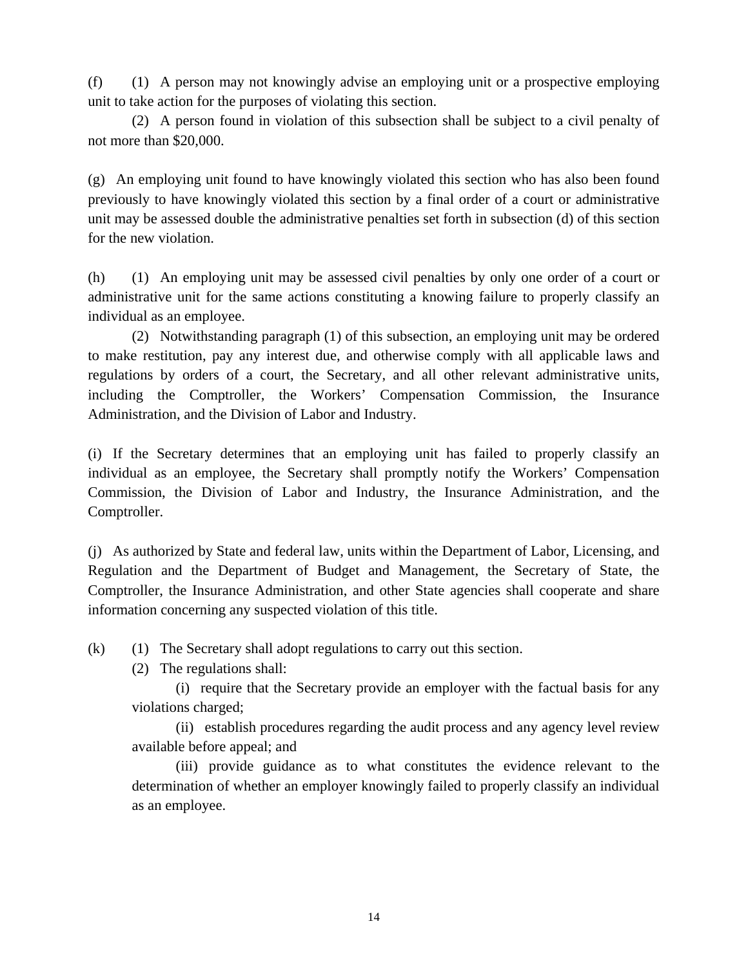(f) (1) A person may not knowingly advise an employing unit or a prospective employing unit to take action for the purposes of violating this section.

(2) A person found in violation of this subsection shall be subject to a civil penalty of not more than \$20,000.

(g) An employing unit found to have knowingly violated this section who has also been found previously to have knowingly violated this section by a final order of a court or administrative unit may be assessed double the administrative penalties set forth in subsection (d) of this section for the new violation.

(h) (1) An employing unit may be assessed civil penalties by only one order of a court or administrative unit for the same actions constituting a knowing failure to properly classify an individual as an employee.

(2) Notwithstanding paragraph (1) of this subsection, an employing unit may be ordered to make restitution, pay any interest due, and otherwise comply with all applicable laws and regulations by orders of a court, the Secretary, and all other relevant administrative units, including the Comptroller, the Workers' Compensation Commission, the Insurance Administration, and the Division of Labor and Industry.

(i) If the Secretary determines that an employing unit has failed to properly classify an individual as an employee, the Secretary shall promptly notify the Workers' Compensation Commission, the Division of Labor and Industry, the Insurance Administration, and the Comptroller.

(j) As authorized by State and federal law, units within the Department of Labor, Licensing, and Regulation and the Department of Budget and Management, the Secretary of State, the Comptroller, the Insurance Administration, and other State agencies shall cooperate and share information concerning any suspected violation of this title.

(k) (1) The Secretary shall adopt regulations to carry out this section.

(2) The regulations shall:

(i) require that the Secretary provide an employer with the factual basis for any violations charged;

(ii) establish procedures regarding the audit process and any agency level review available before appeal; and

(iii) provide guidance as to what constitutes the evidence relevant to the determination of whether an employer knowingly failed to properly classify an individual as an employee.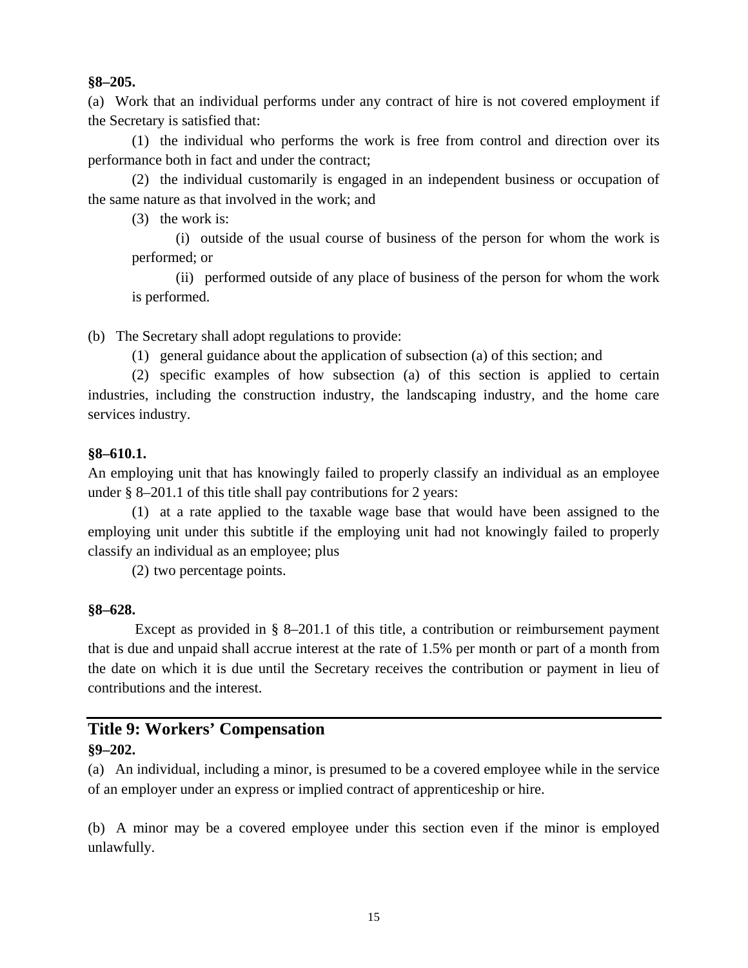#### **§8–205.**

(a) Work that an individual performs under any contract of hire is not covered employment if the Secretary is satisfied that:

(1) the individual who performs the work is free from control and direction over its performance both in fact and under the contract;

(2) the individual customarily is engaged in an independent business or occupation of the same nature as that involved in the work; and

(3) the work is:

(i) outside of the usual course of business of the person for whom the work is performed; or

(ii) performed outside of any place of business of the person for whom the work is performed.

(b) The Secretary shall adopt regulations to provide:

(1) general guidance about the application of subsection (a) of this section; and

(2) specific examples of how subsection (a) of this section is applied to certain industries, including the construction industry, the landscaping industry, and the home care services industry.

#### **§8–610.1.**

An employing unit that has knowingly failed to properly classify an individual as an employee under § 8–201.1 of this title shall pay contributions for 2 years:

(1) at a rate applied to the taxable wage base that would have been assigned to the employing unit under this subtitle if the employing unit had not knowingly failed to properly classify an individual as an employee; plus

(2) two percentage points.

#### **§8–628.**

Except as provided in § 8–201.1 of this title, a contribution or reimbursement payment that is due and unpaid shall accrue interest at the rate of 1.5% per month or part of a month from the date on which it is due until the Secretary receives the contribution or payment in lieu of contributions and the interest.

### **Title 9: Workers' Compensation §9–202.**

(a) An individual, including a minor, is presumed to be a covered employee while in the service of an employer under an express or implied contract of apprenticeship or hire.

(b) A minor may be a covered employee under this section even if the minor is employed unlawfully.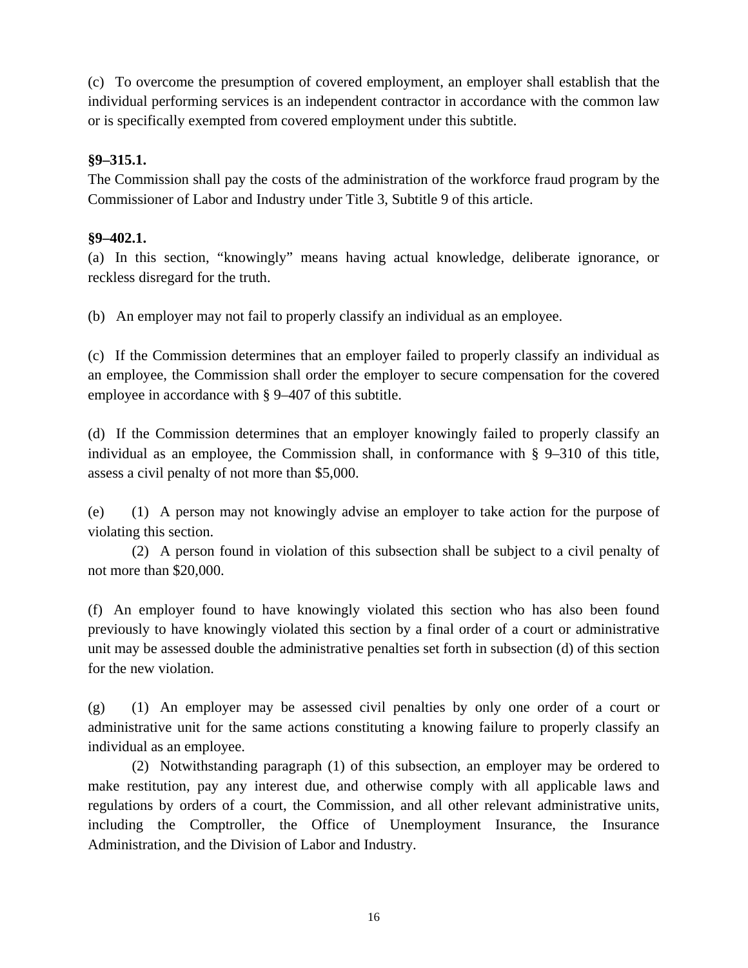(c) To overcome the presumption of covered employment, an employer shall establish that the individual performing services is an independent contractor in accordance with the common law or is specifically exempted from covered employment under this subtitle.

### **§9–315.1.**

The Commission shall pay the costs of the administration of the workforce fraud program by the Commissioner of Labor and Industry under Title 3, Subtitle 9 of this article.

#### **§9–402.1.**

(a) In this section, "knowingly" means having actual knowledge, deliberate ignorance, or reckless disregard for the truth.

(b) An employer may not fail to properly classify an individual as an employee.

(c) If the Commission determines that an employer failed to properly classify an individual as an employee, the Commission shall order the employer to secure compensation for the covered employee in accordance with § 9–407 of this subtitle.

(d) If the Commission determines that an employer knowingly failed to properly classify an individual as an employee, the Commission shall, in conformance with § 9–310 of this title, assess a civil penalty of not more than \$5,000.

(e) (1) A person may not knowingly advise an employer to take action for the purpose of violating this section.

(2) A person found in violation of this subsection shall be subject to a civil penalty of not more than \$20,000.

(f) An employer found to have knowingly violated this section who has also been found previously to have knowingly violated this section by a final order of a court or administrative unit may be assessed double the administrative penalties set forth in subsection (d) of this section for the new violation.

(g) (1) An employer may be assessed civil penalties by only one order of a court or administrative unit for the same actions constituting a knowing failure to properly classify an individual as an employee.

(2) Notwithstanding paragraph (1) of this subsection, an employer may be ordered to make restitution, pay any interest due, and otherwise comply with all applicable laws and regulations by orders of a court, the Commission, and all other relevant administrative units, including the Comptroller, the Office of Unemployment Insurance, the Insurance Administration, and the Division of Labor and Industry.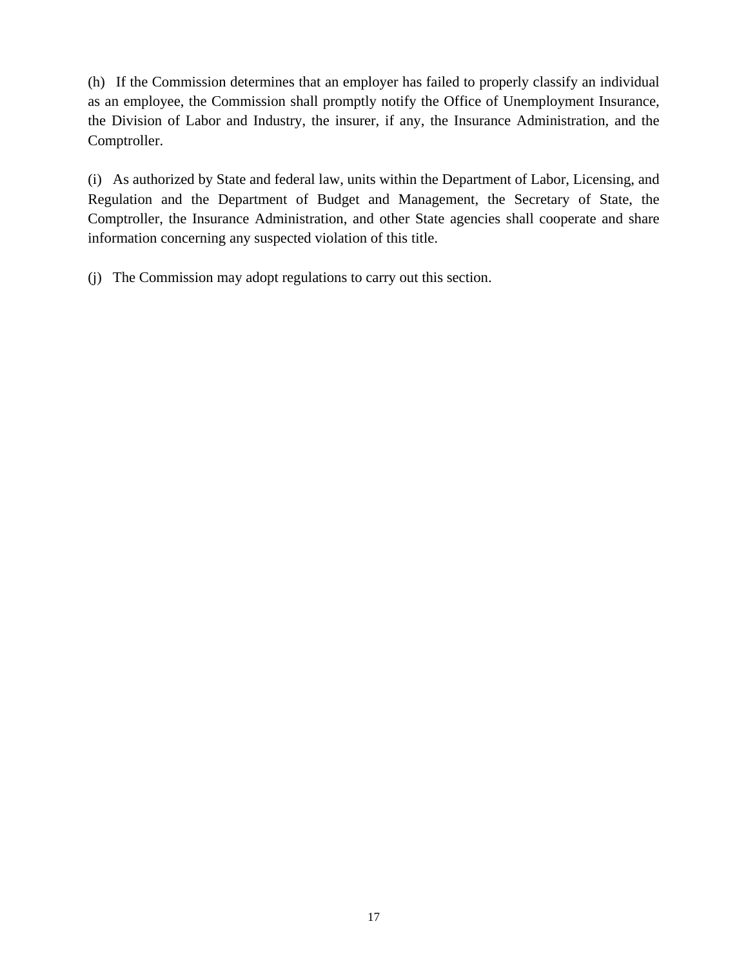(h) If the Commission determines that an employer has failed to properly classify an individual as an employee, the Commission shall promptly notify the Office of Unemployment Insurance, the Division of Labor and Industry, the insurer, if any, the Insurance Administration, and the Comptroller.

(i) As authorized by State and federal law, units within the Department of Labor, Licensing, and Regulation and the Department of Budget and Management, the Secretary of State, the Comptroller, the Insurance Administration, and other State agencies shall cooperate and share information concerning any suspected violation of this title.

(j) The Commission may adopt regulations to carry out this section.